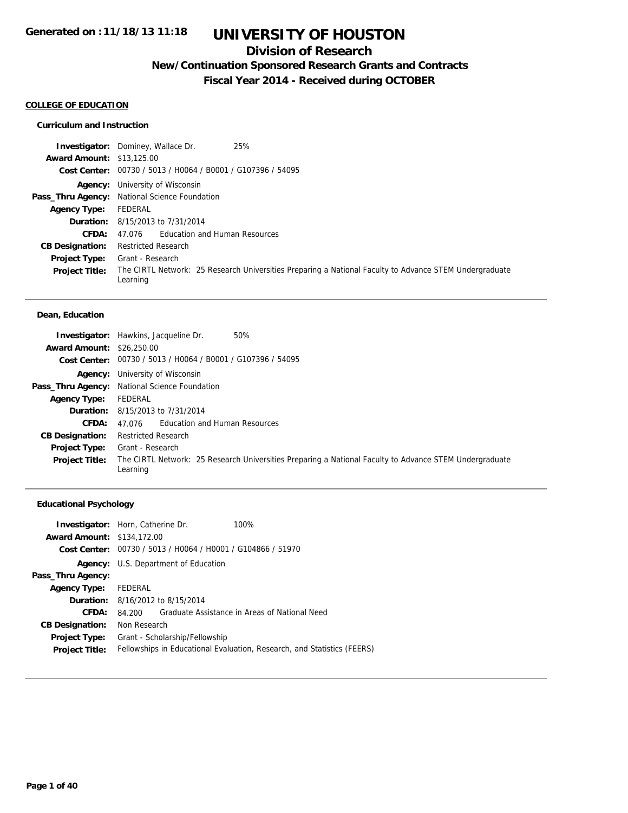### **Division of Research**

**New/Continuation Sponsored Research Grants and Contracts**

**Fiscal Year 2014 - Received during OCTOBER**

#### **COLLEGE OF EDUCATION**

#### **Curriculum and Instruction**

|                                  | 25%<br><b>Investigator:</b> Dominey, Wallace Dr.                                                                   |
|----------------------------------|--------------------------------------------------------------------------------------------------------------------|
| <b>Award Amount: \$13,125.00</b> |                                                                                                                    |
|                                  | Cost Center: 00730 / 5013 / H0064 / B0001 / G107396 / 54095                                                        |
|                                  | <b>Agency:</b> University of Wisconsin                                                                             |
|                                  | Pass_Thru Agency: National Science Foundation                                                                      |
| <b>Agency Type:</b>              | FEDERAL                                                                                                            |
|                                  | <b>Duration:</b> 8/15/2013 to 7/31/2014                                                                            |
| CFDA:                            | 47.076 Education and Human Resources                                                                               |
| <b>CB Designation:</b>           | <b>Restricted Research</b>                                                                                         |
| <b>Project Type:</b>             | Grant - Research                                                                                                   |
| <b>Project Title:</b>            | The CIRTL Network: 25 Research Universities Preparing a National Faculty to Advance STEM Undergraduate<br>Learning |

#### **Dean, Education**

| <b>Award Amount: \$26,250.00</b> | 50%<br><b>Investigator:</b> Hawkins, Jacqueline Dr.                                                                |
|----------------------------------|--------------------------------------------------------------------------------------------------------------------|
|                                  | Cost Center: 00730 / 5013 / H0064 / B0001 / G107396 / 54095                                                        |
|                                  | <b>Agency:</b> University of Wisconsin                                                                             |
|                                  | Pass_Thru Agency: National Science Foundation                                                                      |
| <b>Agency Type:</b>              | FEDERAL                                                                                                            |
|                                  | <b>Duration:</b> 8/15/2013 to 7/31/2014                                                                            |
| CFDA:                            | 47.076 Education and Human Resources                                                                               |
| <b>CB Designation:</b>           | <b>Restricted Research</b>                                                                                         |
| <b>Project Type:</b>             | Grant - Research                                                                                                   |
| <b>Project Title:</b>            | The CIRTL Network: 25 Research Universities Preparing a National Faculty to Advance STEM Undergraduate<br>Learning |

#### **Educational Psychology**

| <b>Investigator:</b> Horn, Catherine Dr. |              |                                                | 100%                                                                    |
|------------------------------------------|--------------|------------------------------------------------|-------------------------------------------------------------------------|
| <b>Award Amount: \$134,172.00</b>        |              |                                                |                                                                         |
| Cost Center:                             |              | 00730 / 5013 / H0064 / H0001 / G104866 / 51970 |                                                                         |
|                                          |              | <b>Agency:</b> U.S. Department of Education    |                                                                         |
| Pass_Thru Agency:                        |              |                                                |                                                                         |
| <b>Agency Type:</b>                      | FEDERAL      |                                                |                                                                         |
|                                          |              | <b>Duration:</b> 8/16/2012 to 8/15/2014        |                                                                         |
| CFDA:                                    | 84 200       |                                                | Graduate Assistance in Areas of National Need                           |
| <b>CB Designation:</b>                   | Non Research |                                                |                                                                         |
| <b>Project Type:</b>                     |              | Grant - Scholarship/Fellowship                 |                                                                         |
| <b>Project Title:</b>                    |              |                                                | Fellowships in Educational Evaluation, Research, and Statistics (FEERS) |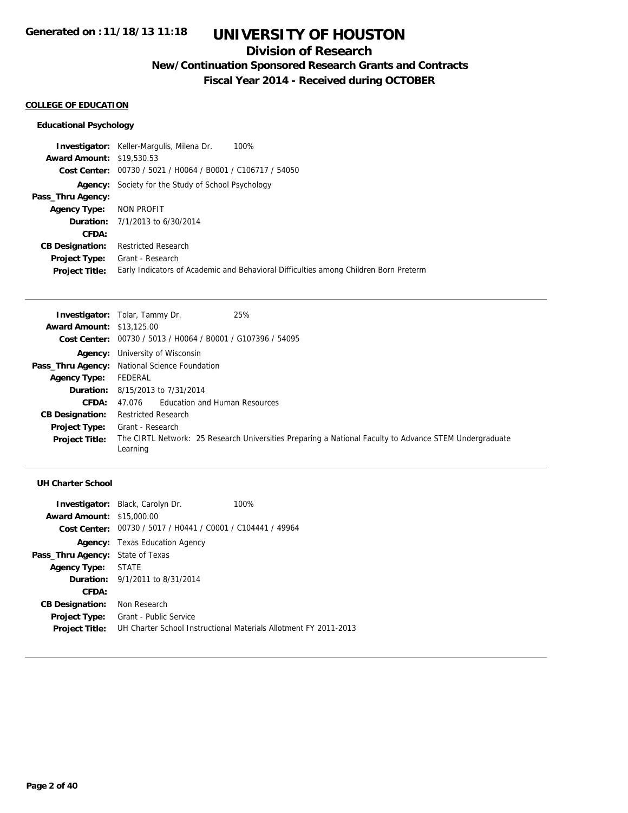## **Division of Research**

**New/Continuation Sponsored Research Grants and Contracts**

**Fiscal Year 2014 - Received during OCTOBER**

#### **COLLEGE OF EDUCATION**

#### **Educational Psychology**

**Investigator:** Keller-Margulis, Milena Dr. 100% **Award Amount:** \$19,530.53 **Cost Center:** 00730 / 5021 / H0064 / B0001 / C106717 / 54050 **Agency:** Society for the Study of School Psychology **Pass\_Thru Agency: Agency Type:** NON PROFIT **Duration:** 7/1/2013 to 6/30/2014 **CFDA: CB Designation:** Restricted Research **Project Type:** Grant - Research **Project Title:** Early Indicators of Academic and Behavioral Difficulties among Children Born Preterm

|                                  | 25%<br><b>Investigator:</b> Tolar, Tammy Dr.                                                                       |
|----------------------------------|--------------------------------------------------------------------------------------------------------------------|
| <b>Award Amount: \$13,125.00</b> |                                                                                                                    |
|                                  | <b>Cost Center:</b> $00730 / 5013 / 40064 / 80001 / 6107396 / 54095$                                               |
|                                  | <b>Agency:</b> University of Wisconsin                                                                             |
|                                  | Pass_Thru Agency: National Science Foundation                                                                      |
| <b>Agency Type:</b>              | FEDERAL                                                                                                            |
|                                  | <b>Duration:</b> 8/15/2013 to 7/31/2014                                                                            |
| <b>CFDA:</b>                     | 47.076 Education and Human Resources                                                                               |
| <b>CB Designation:</b>           | <b>Restricted Research</b>                                                                                         |
| <b>Project Type:</b>             | Grant - Research                                                                                                   |
| <b>Project Title:</b>            | The CIRTL Network: 25 Research Universities Preparing a National Faculty to Advance STEM Undergraduate<br>Learning |

|                                         | <b>Investigator:</b> Black, Carolyn Dr.                     | 100%                                                             |
|-----------------------------------------|-------------------------------------------------------------|------------------------------------------------------------------|
| <b>Award Amount: \$15,000.00</b>        |                                                             |                                                                  |
|                                         | Cost Center: 00730 / 5017 / H0441 / C0001 / C104441 / 49964 |                                                                  |
|                                         | <b>Agency:</b> Texas Education Agency                       |                                                                  |
| <b>Pass_Thru Agency:</b> State of Texas |                                                             |                                                                  |
| Agency Type: STATE                      |                                                             |                                                                  |
|                                         | <b>Duration:</b> 9/1/2011 to 8/31/2014                      |                                                                  |
| CFDA:                                   |                                                             |                                                                  |
| <b>CB Designation:</b>                  | Non Research                                                |                                                                  |
| <b>Project Type:</b>                    | Grant - Public Service                                      |                                                                  |
| <b>Project Title:</b>                   |                                                             | UH Charter School Instructional Materials Allotment FY 2011-2013 |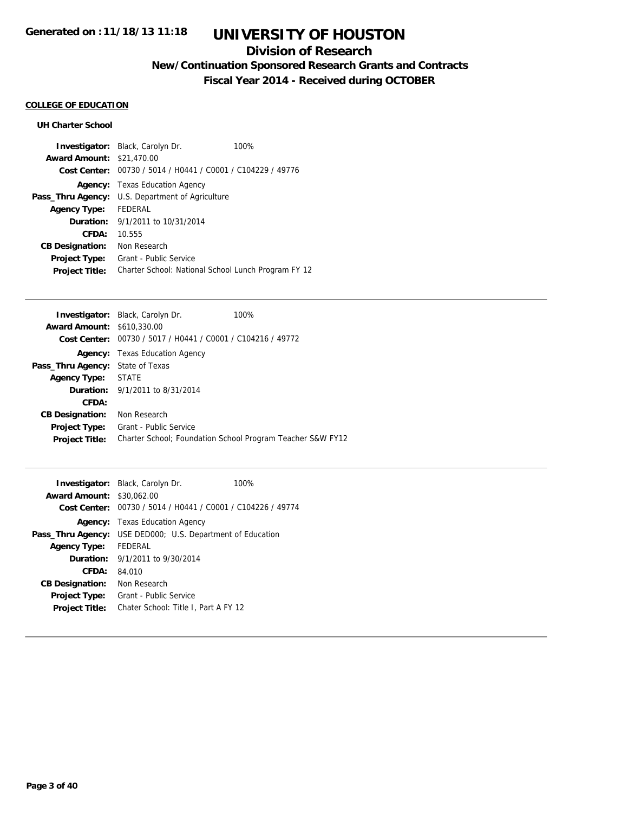### **Division of Research**

## **New/Continuation Sponsored Research Grants and Contracts**

**Fiscal Year 2014 - Received during OCTOBER**

### **COLLEGE OF EDUCATION**

|                                  | <b>Investigator:</b> Black, Carolyn Dr.                     | 100% |
|----------------------------------|-------------------------------------------------------------|------|
| <b>Award Amount: \$21,470.00</b> |                                                             |      |
|                                  | Cost Center: 00730 / 5014 / H0441 / C0001 / C104229 / 49776 |      |
|                                  | <b>Agency:</b> Texas Education Agency                       |      |
| Pass_Thru Agency:                | U.S. Department of Agriculture                              |      |
| <b>Agency Type:</b>              | FEDERAL                                                     |      |
|                                  | <b>Duration:</b> 9/1/2011 to 10/31/2014                     |      |
| CFDA:                            | 10.555                                                      |      |
| <b>CB Designation:</b>           | Non Research                                                |      |
| <b>Project Type:</b>             | Grant - Public Service                                      |      |
| <b>Project Title:</b>            | Charter School: National School Lunch Program FY 12         |      |

|                                         | <b>Investigator:</b> Black, Carolyn Dr.                     | 100% |
|-----------------------------------------|-------------------------------------------------------------|------|
| <b>Award Amount: \$610,330.00</b>       |                                                             |      |
|                                         | Cost Center: 00730 / 5017 / H0441 / C0001 / C104216 / 49772 |      |
|                                         | <b>Agency:</b> Texas Education Agency                       |      |
| <b>Pass_Thru Agency:</b> State of Texas |                                                             |      |
| Agency Type: STATE                      |                                                             |      |
|                                         | <b>Duration:</b> 9/1/2011 to 8/31/2014                      |      |
| CFDA:                                   |                                                             |      |
| <b>CB Designation:</b>                  | Non Research                                                |      |
| <b>Project Type:</b>                    | Grant - Public Service                                      |      |
| <b>Project Title:</b>                   | Charter School: Foundation School Program Teacher S&W FY12  |      |

| <b>Award Amount: \$30,062.00</b> | <b>Investigator:</b> Black, Carolyn Dr.    |                                          | 100%                                                        |
|----------------------------------|--------------------------------------------|------------------------------------------|-------------------------------------------------------------|
|                                  |                                            |                                          | Cost Center: 00730 / 5014 / H0441 / C0001 / C104226 / 49774 |
|                                  | <b>Agency:</b> Texas Education Agency      |                                          |                                                             |
| Pass_Thru Agency:                |                                            | USE DED000; U.S. Department of Education |                                                             |
| <b>Agency Type:</b>              | FFDFRAI                                    |                                          |                                                             |
|                                  | <b>Duration:</b> $9/1/2011$ to $9/30/2014$ |                                          |                                                             |
| CFDA:                            | 84.010                                     |                                          |                                                             |
| <b>CB Designation:</b>           | Non Research                               |                                          |                                                             |
| <b>Project Type:</b>             | Grant - Public Service                     |                                          |                                                             |
| <b>Project Title:</b>            |                                            | Chater School: Title I, Part A FY 12     |                                                             |
|                                  |                                            |                                          |                                                             |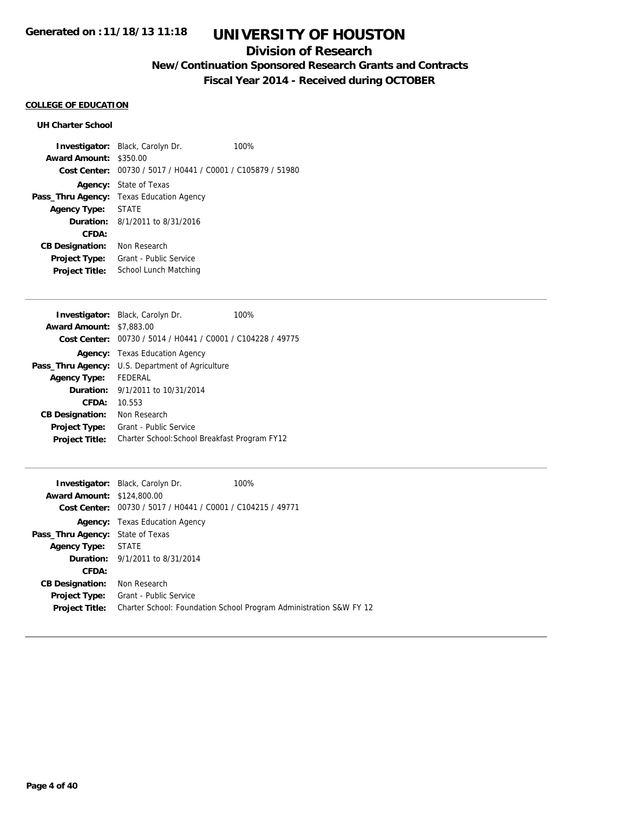### **Division of Research**

## **New/Continuation Sponsored Research Grants and Contracts**

**Fiscal Year 2014 - Received during OCTOBER**

### **COLLEGE OF EDUCATION**

| Award Amount: \$350.00<br>Cost Center: 00730 / 5017 / H0441 / C0001 / C105879 / 51980 |
|---------------------------------------------------------------------------------------|
|                                                                                       |
|                                                                                       |
| <b>Agency:</b> State of Texas                                                         |
| Texas Education Agency<br>Pass_Thru Agency:                                           |
| <b>STATE</b><br><b>Agency Type:</b>                                                   |
| <b>Duration:</b> $8/1/2011$ to $8/31/2016$                                            |
| CFDA:                                                                                 |
| Non Research<br><b>CB Designation:</b>                                                |
| Grant - Public Service<br><b>Project Type:</b>                                        |
| School Lunch Matching<br><b>Project Title:</b>                                        |

|                        | <b>Investigator:</b> Black, Carolyn Dr.                     | 100% |
|------------------------|-------------------------------------------------------------|------|
| <b>Award Amount:</b>   | \$7,883.00                                                  |      |
|                        | Cost Center: 00730 / 5014 / H0441 / C0001 / C104228 / 49775 |      |
|                        | <b>Agency:</b> Texas Education Agency                       |      |
| Pass_Thru Agency:      | U.S. Department of Agriculture                              |      |
| <b>Agency Type:</b>    | <b>FEDERAL</b>                                              |      |
|                        | <b>Duration:</b> 9/1/2011 to 10/31/2014                     |      |
| CFDA:                  | 10.553                                                      |      |
| <b>CB Designation:</b> | Non Research                                                |      |
| <b>Project Type:</b>   | Grant - Public Service                                      |      |
| <b>Project Title:</b>  | Charter School: School Breakfast Program FY12               |      |

|                                         | <b>Investigator:</b> Black, Carolyn Dr.        | 100%                                                               |
|-----------------------------------------|------------------------------------------------|--------------------------------------------------------------------|
| <b>Award Amount: \$124,800.00</b>       |                                                |                                                                    |
| Cost Center:                            | 00730 / 5017 / H0441 / C0001 / C104215 / 49771 |                                                                    |
|                                         | <b>Agency:</b> Texas Education Agency          |                                                                    |
| <b>Pass_Thru Agency:</b> State of Texas |                                                |                                                                    |
| <b>Agency Type: STATE</b>               |                                                |                                                                    |
|                                         | <b>Duration:</b> 9/1/2011 to 8/31/2014         |                                                                    |
| CFDA:                                   |                                                |                                                                    |
| <b>CB Designation:</b>                  | Non Research                                   |                                                                    |
| Project Type:                           | Grant - Public Service                         |                                                                    |
| <b>Project Title:</b>                   |                                                | Charter School: Foundation School Program Administration S&W FY 12 |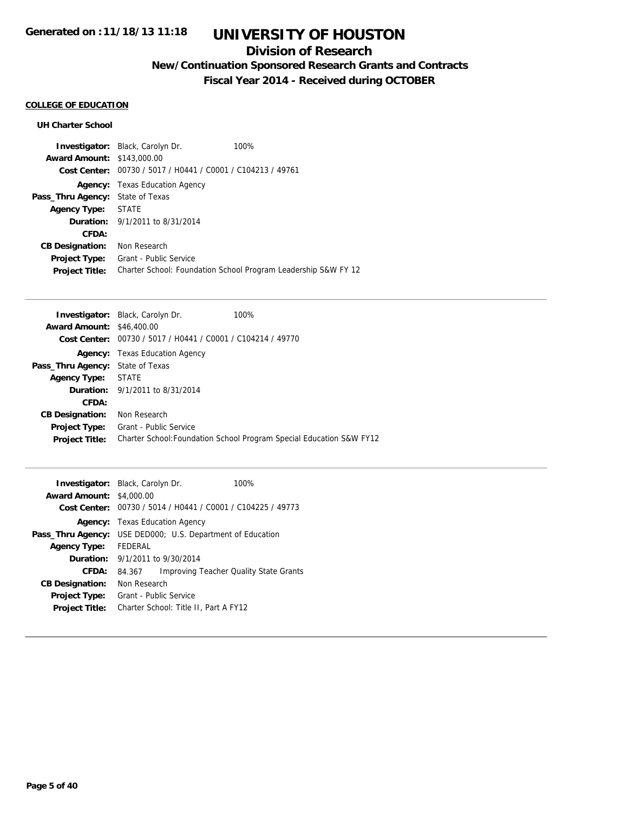### **Division of Research**

**New/Continuation Sponsored Research Grants and Contracts**

**Fiscal Year 2014 - Received during OCTOBER**

#### **COLLEGE OF EDUCATION**

|                                         | <b>Investigator:</b> Black, Carolyn Dr.        | 100%                                                           |
|-----------------------------------------|------------------------------------------------|----------------------------------------------------------------|
| <b>Award Amount: \$143,000.00</b>       |                                                |                                                                |
| Cost Center:                            | 00730 / 5017 / H0441 / C0001 / C104213 / 49761 |                                                                |
| Agency:                                 | Texas Education Agency                         |                                                                |
| <b>Pass_Thru Agency:</b> State of Texas |                                                |                                                                |
| <b>Agency Type:</b>                     | STATE                                          |                                                                |
|                                         | <b>Duration:</b> 9/1/2011 to 8/31/2014         |                                                                |
| CFDA:                                   |                                                |                                                                |
| <b>CB Designation:</b>                  | Non Research                                   |                                                                |
| <b>Project Type:</b>                    | Grant - Public Service                         |                                                                |
| <b>Project Title:</b>                   |                                                | Charter School: Foundation School Program Leadership S&W FY 12 |

|                                         | <b>Investigator:</b> Black, Carolyn Dr.                     | 100%                                                                 |
|-----------------------------------------|-------------------------------------------------------------|----------------------------------------------------------------------|
| <b>Award Amount: \$46,400.00</b>        |                                                             |                                                                      |
|                                         | Cost Center: 00730 / 5017 / H0441 / C0001 / C104214 / 49770 |                                                                      |
|                                         | <b>Agency:</b> Texas Education Agency                       |                                                                      |
| <b>Pass_Thru Agency:</b> State of Texas |                                                             |                                                                      |
| <b>Agency Type: STATE</b>               |                                                             |                                                                      |
|                                         | <b>Duration:</b> $9/1/2011$ to $8/31/2014$                  |                                                                      |
| CFDA:                                   |                                                             |                                                                      |
| <b>CB Designation:</b>                  | Non Research                                                |                                                                      |
| <b>Project Type:</b>                    | Grant - Public Service                                      |                                                                      |
| <b>Project Title:</b>                   |                                                             | Charter School: Foundation School Program Special Education S&W FY12 |
|                                         |                                                             |                                                                      |

| Investigator:<br><b>Award Amount:</b><br>Cost Center: | Black, Carolyn Dr.<br>\$4,000.00         | 100%<br>00730 / 5014 / H0441 / C0001 / C104225 / 49773 |  |
|-------------------------------------------------------|------------------------------------------|--------------------------------------------------------|--|
| Agency:                                               | <b>Texas Education Agency</b>            |                                                        |  |
| Pass_Thru Agency:                                     | USE DED000; U.S. Department of Education |                                                        |  |
| <b>Agency Type:</b>                                   | <b>FFDFRAL</b>                           |                                                        |  |
| Duration:                                             | 9/1/2011 to 9/30/2014                    |                                                        |  |
| CFDA:                                                 | 84.367                                   | Improving Teacher Quality State Grants                 |  |
| <b>CB Designation:</b>                                | Non Research                             |                                                        |  |
| <b>Project Type:</b>                                  | Grant - Public Service                   |                                                        |  |
| <b>Project Title:</b>                                 | Charter School: Title II, Part A FY12    |                                                        |  |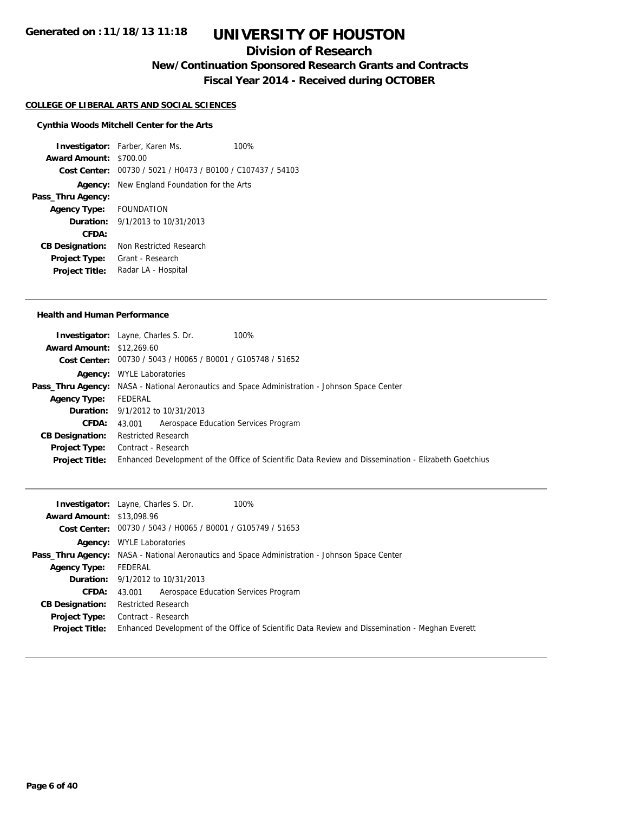### **Division of Research**

**New/Continuation Sponsored Research Grants and Contracts**

**Fiscal Year 2014 - Received during OCTOBER**

#### **COLLEGE OF LIBERAL ARTS AND SOCIAL SCIENCES**

#### **Cynthia Woods Mitchell Center for the Arts**

**Investigator:** Farber, Karen Ms. 100% **Award Amount:** \$700.00 **Cost Center:** 00730 / 5021 / H0473 / B0100 / C107437 / 54103 **Agency:** New England Foundation for the Arts **Pass\_Thru Agency: Agency Type:** FOUNDATION **Duration:** 9/1/2013 to 10/31/2013 **CFDA: CB Designation:** Non Restricted Research **Project Type:** Grant - Research **Project Title:** Radar LA - Hospital

#### **Health and Human Performance**

|                                  | <b>Investigator:</b> Layne, Charles S. Dr.<br>100%                                                   |
|----------------------------------|------------------------------------------------------------------------------------------------------|
| <b>Award Amount: \$12,269.60</b> |                                                                                                      |
|                                  | Cost Center: 00730 / 5043 / H0065 / B0001 / G105748 / 51652                                          |
|                                  | <b>Agency:</b> WYLE Laboratories                                                                     |
|                                  | <b>Pass_Thru Agency:</b> NASA - National Aeronautics and Space Administration - Johnson Space Center |
| <b>Agency Type:</b>              | FEDERAL                                                                                              |
|                                  | <b>Duration:</b> 9/1/2012 to 10/31/2013                                                              |
| <b>CFDA:</b>                     | 43.001 Aerospace Education Services Program                                                          |
| <b>CB Designation:</b>           | <b>Restricted Research</b>                                                                           |
| <b>Project Type:</b>             | Contract - Research                                                                                  |
| <b>Project Title:</b>            | Enhanced Development of the Office of Scientific Data Review and Dissemination - Elizabeth Goetchius |

|                                  | 100%<br><b>Investigator:</b> Layne, Charles S. Dr.                                                   |
|----------------------------------|------------------------------------------------------------------------------------------------------|
| <b>Award Amount: \$13,098.96</b> |                                                                                                      |
|                                  | <b>Cost Center:</b> $00730 / 5043 / 40065 / 80001 / 6105749 / 51653$                                 |
|                                  | <b>Agency:</b> WYLE Laboratories                                                                     |
|                                  | <b>Pass_Thru Agency:</b> NASA - National Aeronautics and Space Administration - Johnson Space Center |
| <b>Agency Type:</b>              | FEDERAL                                                                                              |
|                                  | <b>Duration:</b> 9/1/2012 to 10/31/2013                                                              |
| <b>CFDA:</b>                     | 43.001 Aerospace Education Services Program                                                          |
| <b>CB Designation:</b>           | <b>Restricted Research</b>                                                                           |
| Project Type:                    | Contract - Research                                                                                  |
| <b>Project Title:</b>            | Enhanced Development of the Office of Scientific Data Review and Dissemination - Meghan Everett      |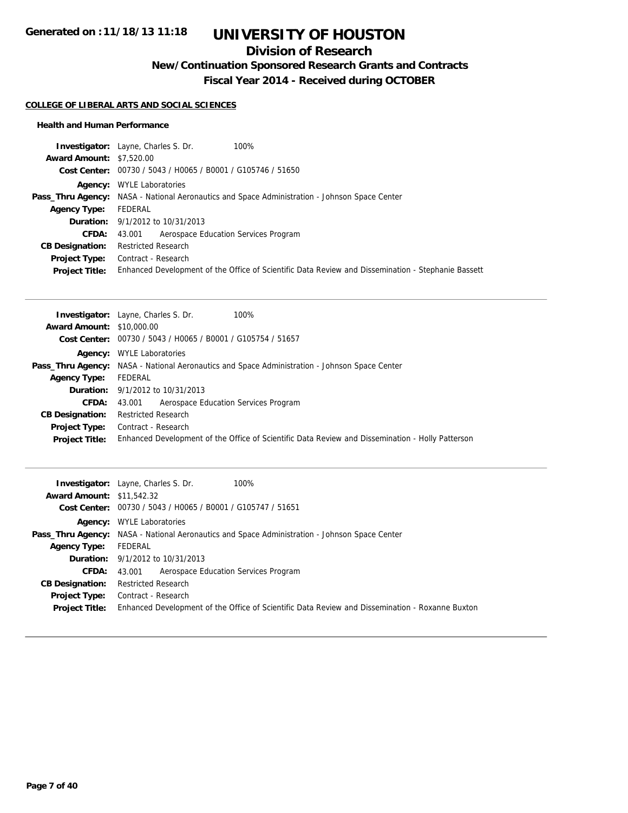## **Division of Research**

**New/Continuation Sponsored Research Grants and Contracts**

**Fiscal Year 2014 - Received during OCTOBER**

#### **COLLEGE OF LIBERAL ARTS AND SOCIAL SCIENCES**

#### **Health and Human Performance**

| <b>Investigator:</b> Layne, Charles S. Dr.<br>100%                                                   |
|------------------------------------------------------------------------------------------------------|
| <b>Award Amount: \$7,520.00</b>                                                                      |
| Cost Center: 00730 / 5043 / H0065 / B0001 / G105746 / 51650                                          |
| <b>Agency:</b> WYLE Laboratories                                                                     |
| <b>Pass_Thru Agency:</b> NASA - National Aeronautics and Space Administration - Johnson Space Center |
| FEDERAL                                                                                              |
| <b>Duration:</b> 9/1/2012 to 10/31/2013                                                              |
| 43.001 Aerospace Education Services Program                                                          |
| <b>Restricted Research</b>                                                                           |
| Contract - Research                                                                                  |
| Enhanced Development of the Office of Scientific Data Review and Dissemination - Stephanie Bassett   |
|                                                                                                      |

|                                  | <b>Investigator:</b> Layne, Charles S. Dr.<br>100%                                                   |  |  |
|----------------------------------|------------------------------------------------------------------------------------------------------|--|--|
| <b>Award Amount: \$10,000.00</b> |                                                                                                      |  |  |
|                                  | Cost Center: 00730 / 5043 / H0065 / B0001 / G105754 / 51657                                          |  |  |
|                                  | <b>Agency:</b> WYLE Laboratories                                                                     |  |  |
|                                  | <b>Pass_Thru Agency:</b> NASA - National Aeronautics and Space Administration - Johnson Space Center |  |  |
| <b>Agency Type:</b>              | FEDERAL                                                                                              |  |  |
|                                  | <b>Duration:</b> $9/1/2012$ to $10/31/2013$                                                          |  |  |
| <b>CFDA:</b>                     | 43,001 Aerospace Education Services Program                                                          |  |  |
| <b>CB Designation:</b>           | <b>Restricted Research</b>                                                                           |  |  |
| <b>Project Type:</b>             | Contract - Research                                                                                  |  |  |
| <b>Project Title:</b>            | Enhanced Development of the Office of Scientific Data Review and Dissemination - Holly Patterson     |  |  |

| 100%<br><b>Investigator:</b> Layne, Charles S. Dr.                                                   |
|------------------------------------------------------------------------------------------------------|
| <b>Award Amount: \$11,542.32</b>                                                                     |
| Cost Center: 00730 / 5043 / H0065 / B0001 / G105747 / 51651                                          |
| <b>Agency:</b> WYLE Laboratories                                                                     |
| <b>Pass_Thru Agency:</b> NASA - National Aeronautics and Space Administration - Johnson Space Center |
| FEDERAL                                                                                              |
| <b>Duration:</b> $9/1/2012$ to $10/31/2013$                                                          |
| Aerospace Education Services Program<br>43.001                                                       |
| <b>Restricted Research</b>                                                                           |
| Contract - Research                                                                                  |
| Enhanced Development of the Office of Scientific Data Review and Dissemination - Roxanne Buxton      |
|                                                                                                      |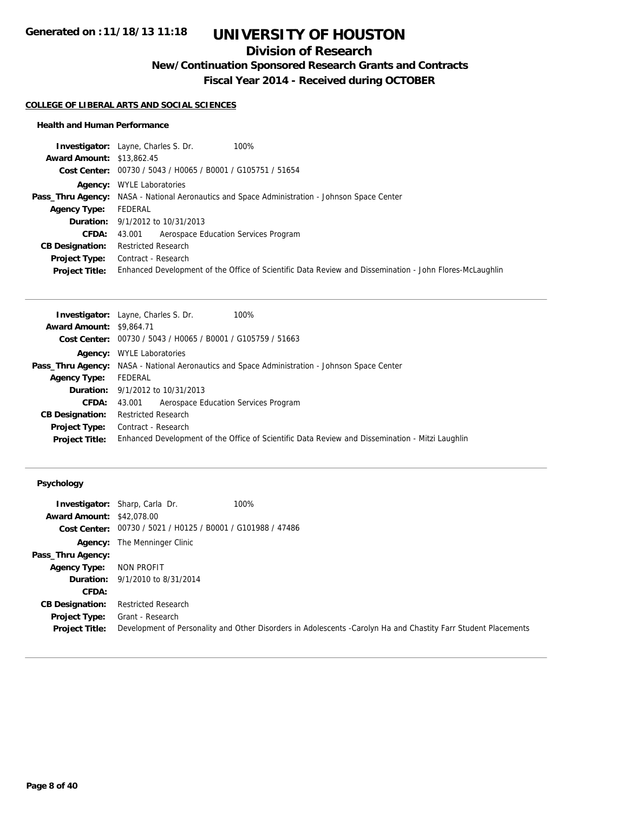## **Division of Research**

**New/Continuation Sponsored Research Grants and Contracts**

**Fiscal Year 2014 - Received during OCTOBER**

#### **COLLEGE OF LIBERAL ARTS AND SOCIAL SCIENCES**

#### **Health and Human Performance**

| <b>Investigator:</b> Layne, Charles S. Dr.<br>100%                                                      |
|---------------------------------------------------------------------------------------------------------|
| <b>Award Amount: \$13,862.45</b>                                                                        |
| Cost Center: 00730 / 5043 / H0065 / B0001 / G105751 / 51654                                             |
| <b>Agency:</b> WYLE Laboratories                                                                        |
| <b>Pass_Thru Agency:</b> NASA - National Aeronautics and Space Administration - Johnson Space Center    |
| FEDERAL                                                                                                 |
| <b>Duration:</b> 9/1/2012 to 10/31/2013                                                                 |
| Aerospace Education Services Program<br>43.001                                                          |
| <b>Restricted Research</b>                                                                              |
| Contract - Research                                                                                     |
| Enhanced Development of the Office of Scientific Data Review and Dissemination - John Flores-McLaughlin |
|                                                                                                         |

|                                 | <b>Investigator:</b> Layne, Charles S. Dr.<br>100%                                                   |
|---------------------------------|------------------------------------------------------------------------------------------------------|
| <b>Award Amount: \$9,864.71</b> |                                                                                                      |
|                                 | <b>Cost Center:</b> $00730 / 5043 / 40065 / 80001 / 6105759 / 51663$                                 |
| Agency:                         | <b>WYLE Laboratories</b>                                                                             |
|                                 | <b>Pass_Thru Agency:</b> NASA - National Aeronautics and Space Administration - Johnson Space Center |
| <b>Agency Type:</b>             | FEDERAL                                                                                              |
|                                 | <b>Duration:</b> 9/1/2012 to 10/31/2013                                                              |
| CFDA:                           | Aerospace Education Services Program<br>43.001                                                       |
| <b>CB Designation:</b>          | <b>Restricted Research</b>                                                                           |
| Project Type:                   | Contract - Research                                                                                  |
| <b>Project Title:</b>           | Enhanced Development of the Office of Scientific Data Review and Dissemination - Mitzi Laughlin      |
|                                 |                                                                                                      |

### **Psychology**

|                                  | <b>Investigator:</b> Sharp, Carla Dr.                       | 100%                                                                                                           |
|----------------------------------|-------------------------------------------------------------|----------------------------------------------------------------------------------------------------------------|
| <b>Award Amount: \$42,078,00</b> |                                                             |                                                                                                                |
|                                  | Cost Center: 00730 / 5021 / H0125 / B0001 / G101988 / 47486 |                                                                                                                |
|                                  | <b>Agency:</b> The Menninger Clinic                         |                                                                                                                |
| Pass_Thru Agency:                |                                                             |                                                                                                                |
| <b>Agency Type:</b>              | NON PROFIT                                                  |                                                                                                                |
|                                  | <b>Duration:</b> 9/1/2010 to 8/31/2014                      |                                                                                                                |
| CFDA:                            |                                                             |                                                                                                                |
| <b>CB Designation:</b>           | <b>Restricted Research</b>                                  |                                                                                                                |
| <b>Project Type:</b>             | Grant - Research                                            |                                                                                                                |
| <b>Project Title:</b>            |                                                             | Development of Personality and Other Disorders in Adolescents -Carolyn Ha and Chastity Farr Student Placements |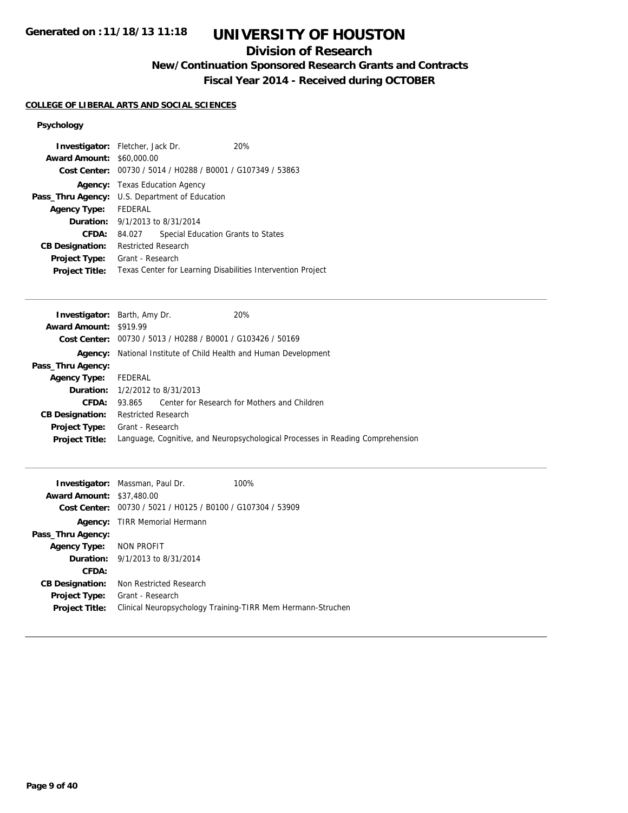### **Division of Research**

**New/Continuation Sponsored Research Grants and Contracts**

**Fiscal Year 2014 - Received during OCTOBER**

#### **COLLEGE OF LIBERAL ARTS AND SOCIAL SCIENCES**

#### **Psychology**

| <b>Investigator:</b> Fletcher, Jack Dr. |                                                             |  |  | 20%                                                         |
|-----------------------------------------|-------------------------------------------------------------|--|--|-------------------------------------------------------------|
| <b>Award Amount: \$60,000.00</b>        |                                                             |  |  |                                                             |
|                                         | Cost Center: 00730 / 5014 / H0288 / B0001 / G107349 / 53863 |  |  |                                                             |
|                                         | <b>Agency:</b> Texas Education Agency                       |  |  |                                                             |
|                                         | <b>Pass_Thru Agency:</b> U.S. Department of Education       |  |  |                                                             |
| Agency Type: FEDERAL                    |                                                             |  |  |                                                             |
| <b>Duration:</b> 9/1/2013 to 8/31/2014  |                                                             |  |  |                                                             |
| CFDA:                                   | 84.027                                                      |  |  | Special Education Grants to States                          |
| <b>CB Designation:</b>                  | <b>Restricted Research</b>                                  |  |  |                                                             |
| <b>Project Type:</b>                    | Grant - Research                                            |  |  |                                                             |
| <b>Project Title:</b>                   |                                                             |  |  | Texas Center for Learning Disabilities Intervention Project |
|                                         |                                                             |  |  |                                                             |

|                               | <b>Investigator:</b> Barth, Amy Dr.<br>20%                                     |  |  |
|-------------------------------|--------------------------------------------------------------------------------|--|--|
| <b>Award Amount: \$919.99</b> |                                                                                |  |  |
|                               | Cost Center: 00730 / 5013 / H0288 / B0001 / G103426 / 50169                    |  |  |
| Agency:                       | National Institute of Child Health and Human Development                       |  |  |
| Pass_Thru Agency:             |                                                                                |  |  |
| <b>Agency Type:</b>           | FEDERAL                                                                        |  |  |
|                               | <b>Duration:</b> 1/2/2012 to 8/31/2013                                         |  |  |
| CFDA:                         | Center for Research for Mothers and Children<br>93.865                         |  |  |
| <b>CB Designation:</b>        | <b>Restricted Research</b>                                                     |  |  |
| <b>Project Type:</b>          | Grant - Research                                                               |  |  |
| <b>Project Title:</b>         | Language, Cognitive, and Neuropsychological Processes in Reading Comprehension |  |  |
|                               |                                                                                |  |  |

| <b>Award Amount:</b>    | <b>Investigator:</b> Massman, Paul Dr.<br>\$37,480.00       | 100%                                                        |
|-------------------------|-------------------------------------------------------------|-------------------------------------------------------------|
|                         | Cost Center: 00730 / 5021 / H0125 / B0100 / G107304 / 53909 |                                                             |
| Agency:                 | TIRR Memorial Hermann                                       |                                                             |
| Pass_Thru Agency:       |                                                             |                                                             |
| Agency Type: NON PROFIT |                                                             |                                                             |
|                         | <b>Duration:</b> $9/1/2013$ to $8/31/2014$                  |                                                             |
| CFDA:                   |                                                             |                                                             |
| <b>CB Designation:</b>  | Non Restricted Research                                     |                                                             |
| <b>Project Type:</b>    | Grant - Research                                            |                                                             |
| <b>Project Title:</b>   |                                                             | Clinical Neuropsychology Training-TIRR Mem Hermann-Struchen |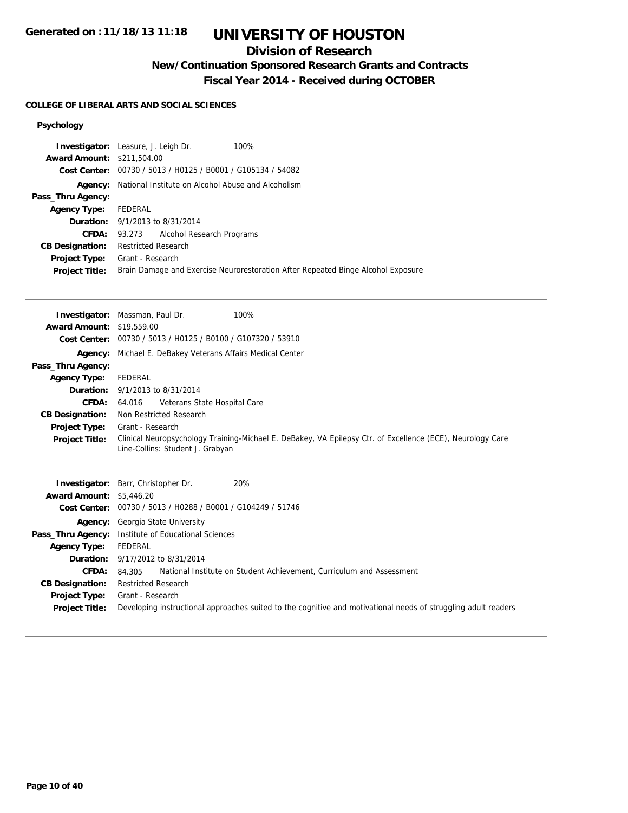## **Division of Research**

**New/Continuation Sponsored Research Grants and Contracts**

**Fiscal Year 2014 - Received during OCTOBER**

#### **COLLEGE OF LIBERAL ARTS AND SOCIAL SCIENCES**

#### **Psychology**

|                                   | <b>Investigator:</b> Leasure, J. Leigh Dr.<br>100%                                                                                             |
|-----------------------------------|------------------------------------------------------------------------------------------------------------------------------------------------|
| <b>Award Amount: \$211,504.00</b> |                                                                                                                                                |
| <b>Cost Center:</b>               | 00730 / 5013 / H0125 / B0001 / G105134 / 54082                                                                                                 |
|                                   | Agency: National Institute on Alcohol Abuse and Alcoholism                                                                                     |
| Pass_Thru Agency:                 |                                                                                                                                                |
| <b>Agency Type:</b>               | FEDERAL                                                                                                                                        |
| Duration:                         | 9/1/2013 to 8/31/2014                                                                                                                          |
| <b>CFDA:</b>                      | Alcohol Research Programs<br>93.273                                                                                                            |
| <b>CB Designation:</b>            | <b>Restricted Research</b>                                                                                                                     |
| Project Type:                     | Grant - Research                                                                                                                               |
| <b>Project Title:</b>             | Brain Damage and Exercise Neurorestoration After Repeated Binge Alcohol Exposure                                                               |
|                                   |                                                                                                                                                |
|                                   | 100%<br>Investigator: Massman, Paul Dr.                                                                                                        |
| <b>Award Amount:</b>              | \$19,559.00                                                                                                                                    |
|                                   | Cost Center: 00730 / 5013 / H0125 / B0100 / G107320 / 53910                                                                                    |
|                                   |                                                                                                                                                |
| Agency:                           | Michael E. DeBakey Veterans Affairs Medical Center                                                                                             |
| Pass_Thru Agency:                 |                                                                                                                                                |
| <b>Agency Type:</b>               | <b>FEDERAL</b>                                                                                                                                 |
| Duration:                         | 9/1/2013 to 8/31/2014                                                                                                                          |
| CFDA:                             | Veterans State Hospital Care<br>64.016                                                                                                         |
| <b>CB Designation:</b>            | Non Restricted Research                                                                                                                        |
| Project Type:                     | Grant - Research                                                                                                                               |
| <b>Project Title:</b>             | Clinical Neuropsychology Training-Michael E. DeBakey, VA Epilepsy Ctr. of Excellence (ECE), Neurology Care<br>Line-Collins: Student J. Grabyan |
|                                   | Investigator: Barr, Christopher Dr.<br>20%                                                                                                     |
|                                   |                                                                                                                                                |

|                                 | $\mathbf{H}$ is $\mathbf{H}$ is $\mathbf{H}$ is $\mathbf{H}$ is $\mathbf{H}$ is $\mathbf{H}$ is $\mathbf{H}$ is $\mathbf{H}$ is $\mathbf{H}$ is $\mathbf{H}$ is $\mathbf{H}$ is $\mathbf{H}$ is $\mathbf{H}$ is $\mathbf{H}$ is $\mathbf{H}$ is $\mathbf{H}$ is $\mathbf{H}$ is $\mathbf{H}$ is $\mathbf{$<br>ZU 70. |
|---------------------------------|----------------------------------------------------------------------------------------------------------------------------------------------------------------------------------------------------------------------------------------------------------------------------------------------------------------------|
| <b>Award Amount: \$5,446.20</b> |                                                                                                                                                                                                                                                                                                                      |
|                                 | Cost Center: 00730 / 5013 / H0288 / B0001 / G104249 / 51746                                                                                                                                                                                                                                                          |
|                                 | <b>Agency:</b> Georgia State University                                                                                                                                                                                                                                                                              |
|                                 | <b>Pass_Thru Agency:</b> Institute of Educational Sciences                                                                                                                                                                                                                                                           |
| <b>Agency Type:</b>             | FEDERAL                                                                                                                                                                                                                                                                                                              |
|                                 | <b>Duration:</b> 9/17/2012 to 8/31/2014                                                                                                                                                                                                                                                                              |
| <b>CFDA:</b>                    | National Institute on Student Achievement, Curriculum and Assessment<br>84.305                                                                                                                                                                                                                                       |
| <b>CB Designation:</b>          | Restricted Research                                                                                                                                                                                                                                                                                                  |
| <b>Project Type:</b>            | Grant - Research                                                                                                                                                                                                                                                                                                     |
| <b>Project Title:</b>           | Developing instructional approaches suited to the cognitive and motivational needs of struggling adult readers                                                                                                                                                                                                       |
|                                 |                                                                                                                                                                                                                                                                                                                      |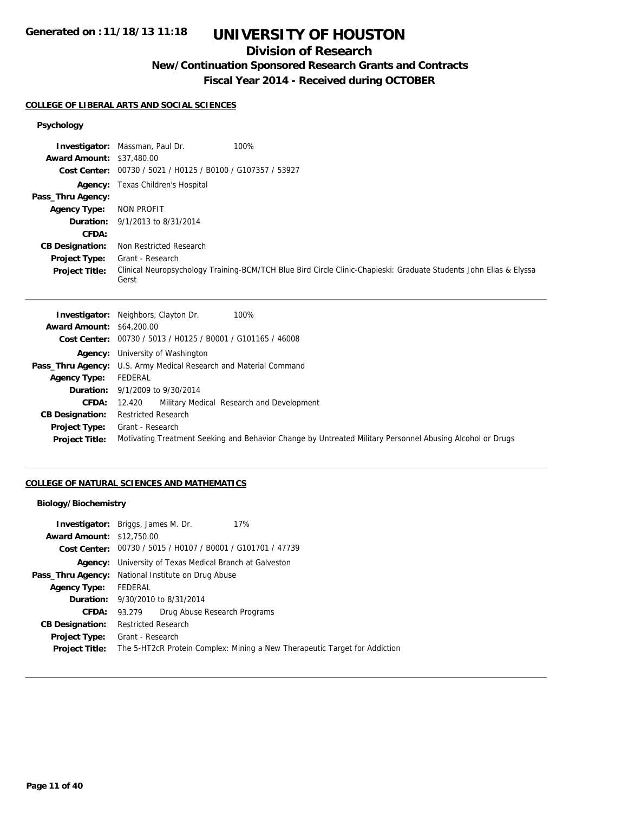### **Division of Research**

### **New/Continuation Sponsored Research Grants and Contracts**

**Fiscal Year 2014 - Received during OCTOBER**

#### **COLLEGE OF LIBERAL ARTS AND SOCIAL SCIENCES**

## **Psychology**

|                                  | <b>Investigator:</b> Massman, Paul Dr.<br>100%              |                                                                                                                    |  |
|----------------------------------|-------------------------------------------------------------|--------------------------------------------------------------------------------------------------------------------|--|
| <b>Award Amount: \$37,480.00</b> |                                                             |                                                                                                                    |  |
|                                  | Cost Center: 00730 / 5021 / H0125 / B0100 / G107357 / 53927 |                                                                                                                    |  |
|                                  | <b>Agency:</b> Texas Children's Hospital                    |                                                                                                                    |  |
| Pass_Thru Agency:                |                                                             |                                                                                                                    |  |
| <b>Agency Type:</b>              | NON PROFIT                                                  |                                                                                                                    |  |
|                                  | <b>Duration:</b> 9/1/2013 to 8/31/2014                      |                                                                                                                    |  |
| CFDA:                            |                                                             |                                                                                                                    |  |
| <b>CB Designation:</b>           | Non Restricted Research                                     |                                                                                                                    |  |
| <b>Project Type:</b>             | Grant - Research                                            |                                                                                                                    |  |
| <b>Project Title:</b>            | Gerst                                                       | Clinical Neuropsychology Training-BCM/TCH Blue Bird Circle Clinic-Chapieski: Graduate Students John Elias & Elyssa |  |

|                                  | 100%<br><b>Investigator:</b> Neighbors, Clayton Dr.                                                       |
|----------------------------------|-----------------------------------------------------------------------------------------------------------|
| <b>Award Amount: \$64,200.00</b> |                                                                                                           |
|                                  | Cost Center: 00730 / 5013 / H0125 / B0001 / G101165 / 46008                                               |
|                                  | <b>Agency:</b> University of Washington                                                                   |
|                                  | <b>Pass_Thru Agency:</b> U.S. Army Medical Research and Material Command                                  |
| <b>Agency Type:</b>              | FEDERAL                                                                                                   |
|                                  | <b>Duration:</b> 9/1/2009 to 9/30/2014                                                                    |
| <b>CFDA:</b>                     | Military Medical Research and Development<br>12.420                                                       |
| <b>CB Designation:</b>           | <b>Restricted Research</b>                                                                                |
| Project Type:                    | Grant - Research                                                                                          |
| <b>Project Title:</b>            | Motivating Treatment Seeking and Behavior Change by Untreated Military Personnel Abusing Alcohol or Drugs |
|                                  |                                                                                                           |

#### **COLLEGE OF NATURAL SCIENCES AND MATHEMATICS**

#### **Biology/Biochemistry**

|                                  | 17%<br><b>Investigator:</b> Briggs, James M. Dr.                           |
|----------------------------------|----------------------------------------------------------------------------|
| <b>Award Amount: \$12,750.00</b> |                                                                            |
|                                  | Cost Center: 00730 / 5015 / H0107 / B0001 / G101701 / 47739                |
|                                  | <b>Agency:</b> University of Texas Medical Branch at Galveston             |
|                                  | <b>Pass_Thru Agency:</b> National Institute on Drug Abuse                  |
| <b>Agency Type:</b>              | FEDERAL                                                                    |
|                                  | <b>Duration:</b> 9/30/2010 to 8/31/2014                                    |
| <b>CFDA:</b>                     | Drug Abuse Research Programs<br>93.279                                     |
| <b>CB Designation:</b>           | <b>Restricted Research</b>                                                 |
| <b>Project Type:</b>             | Grant - Research                                                           |
| <b>Project Title:</b>            | The 5-HT2cR Protein Complex: Mining a New Therapeutic Target for Addiction |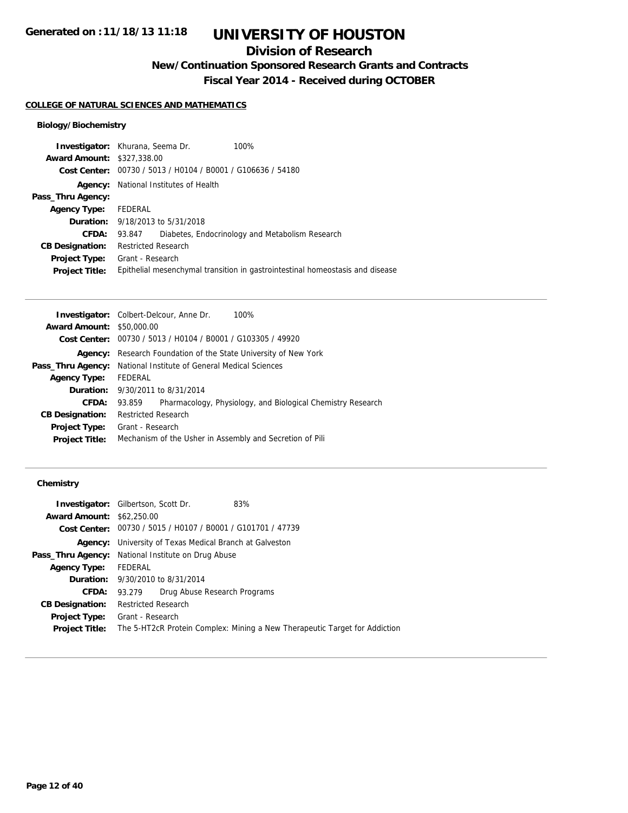## **Division of Research**

**New/Continuation Sponsored Research Grants and Contracts**

**Fiscal Year 2014 - Received during OCTOBER**

#### **COLLEGE OF NATURAL SCIENCES AND MATHEMATICS**

#### **Biology/Biochemistry**

| <b>Investigator:</b> Khurana, Seema Dr. |                            |                                                | 100%                                                                          |
|-----------------------------------------|----------------------------|------------------------------------------------|-------------------------------------------------------------------------------|
| <b>Award Amount: \$327,338.00</b>       |                            |                                                |                                                                               |
| Cost Center:                            |                            | 00730 / 5013 / H0104 / B0001 / G106636 / 54180 |                                                                               |
| Agency:                                 |                            | National Institutes of Health                  |                                                                               |
| Pass_Thru Agency:                       |                            |                                                |                                                                               |
| <b>Agency Type:</b>                     | FEDERAL                    |                                                |                                                                               |
|                                         |                            | <b>Duration:</b> 9/18/2013 to 5/31/2018        |                                                                               |
| CFDA:                                   | 93.847                     |                                                | Diabetes, Endocrinology and Metabolism Research                               |
| <b>CB Designation:</b>                  | <b>Restricted Research</b> |                                                |                                                                               |
| <b>Project Type:</b> Grant - Research   |                            |                                                |                                                                               |
| <b>Project Title:</b>                   |                            |                                                | Epithelial mesenchymal transition in gastrointestinal homeostasis and disease |
|                                         |                            |                                                |                                                                               |

|                                  | <b>Investigator:</b> Colbert-Delcour, Anne Dr.<br>100%                |
|----------------------------------|-----------------------------------------------------------------------|
| <b>Award Amount: \$50,000.00</b> |                                                                       |
|                                  | Cost Center: 00730 / 5013 / H0104 / B0001 / G103305 / 49920           |
| Agency:                          | Research Foundation of the State University of New York               |
| Pass_Thru Agency:                | National Institute of General Medical Sciences                        |
| <b>Agency Type:</b>              | FEDERAL                                                               |
|                                  | <b>Duration:</b> 9/30/2011 to 8/31/2014                               |
| CFDA:                            | Pharmacology, Physiology, and Biological Chemistry Research<br>93.859 |
| <b>CB Designation:</b>           | <b>Restricted Research</b>                                            |
| Project Type:                    | Grant - Research                                                      |
| <b>Project Title:</b>            | Mechanism of the Usher in Assembly and Secretion of Pili              |
|                                  |                                                                       |

#### **Chemistry**

| <b>Investigator:</b> Gilbertson, Scott Dr.                |                            |                                                                | 83%                                                                        |
|-----------------------------------------------------------|----------------------------|----------------------------------------------------------------|----------------------------------------------------------------------------|
| <b>Award Amount: \$62,250.00</b>                          |                            |                                                                |                                                                            |
|                                                           |                            | Cost Center: 00730 / 5015 / H0107 / B0001 / G101701 / 47739    |                                                                            |
|                                                           |                            | <b>Agency:</b> University of Texas Medical Branch at Galveston |                                                                            |
| <b>Pass_Thru Agency:</b> National Institute on Drug Abuse |                            |                                                                |                                                                            |
| <b>Agency Type:</b>                                       | <b>FEDERAL</b>             |                                                                |                                                                            |
|                                                           |                            | <b>Duration:</b> 9/30/2010 to 8/31/2014                        |                                                                            |
| CFDA:                                                     | 93.279                     | Drug Abuse Research Programs                                   |                                                                            |
| <b>CB Designation:</b>                                    | <b>Restricted Research</b> |                                                                |                                                                            |
| Project Type:                                             | Grant - Research           |                                                                |                                                                            |
| <b>Project Title:</b>                                     |                            |                                                                | The 5-HT2cR Protein Complex: Mining a New Therapeutic Target for Addiction |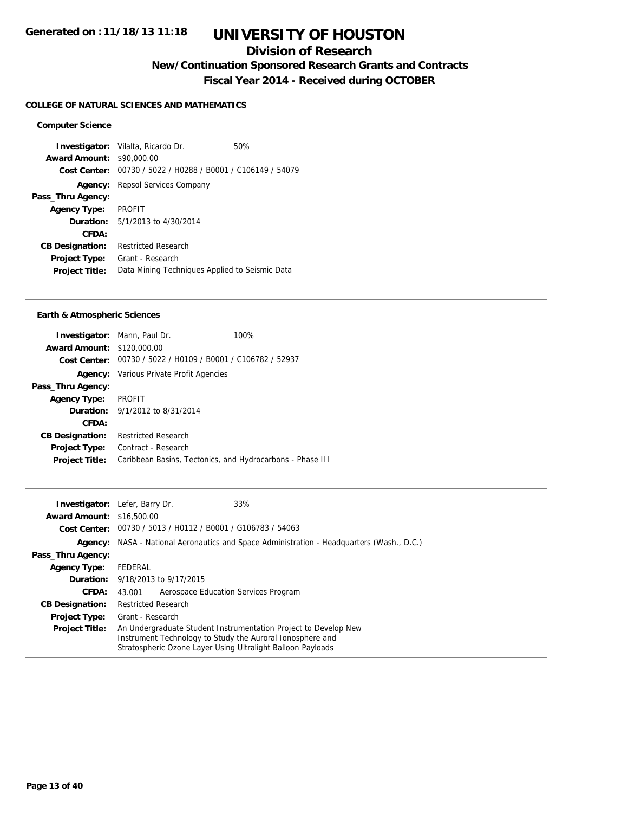### **Division of Research**

**New/Continuation Sponsored Research Grants and Contracts**

**Fiscal Year 2014 - Received during OCTOBER**

#### **COLLEGE OF NATURAL SCIENCES AND MATHEMATICS**

#### **Computer Science**

**Investigator:** Vilalta, Ricardo Dr. 60% **Award Amount:** \$90,000.00 **Cost Center:** 00730 / 5022 / H0288 / B0001 / C106149 / 54079 **Agency:** Repsol Services Company **Pass\_Thru Agency: Agency Type:** PROFIT **Duration:** 5/1/2013 to 4/30/2014 **CFDA: CB Designation:** Restricted Research **Project Type:** Grant - Research **Project Title:** Data Mining Techniques Applied to Seismic Data

#### **Earth & Atmospheric Sciences**

|                                   | <b>Investigator:</b> Mann, Paul Dr.                         | 100% |
|-----------------------------------|-------------------------------------------------------------|------|
| <b>Award Amount: \$120,000.00</b> |                                                             |      |
|                                   | Cost Center: 00730 / 5022 / H0109 / B0001 / C106782 / 52937 |      |
|                                   | <b>Agency:</b> Various Private Profit Agencies              |      |
| Pass_Thru Agency:                 |                                                             |      |
| <b>Agency Type:</b>               | PROFIT                                                      |      |
|                                   | <b>Duration:</b> 9/1/2012 to 8/31/2014                      |      |
| CFDA:                             |                                                             |      |
| <b>CB Designation:</b>            | <b>Restricted Research</b>                                  |      |
| <b>Project Type:</b>              | Contract - Research                                         |      |
| <b>Project Title:</b>             | Caribbean Basins, Tectonics, and Hydrocarbons - Phase III   |      |
|                                   |                                                             |      |

|                                  | 33%<br><b>Investigator:</b> Lefer, Barry Dr.                                                                                                                                                |
|----------------------------------|---------------------------------------------------------------------------------------------------------------------------------------------------------------------------------------------|
| <b>Award Amount: \$16,500.00</b> |                                                                                                                                                                                             |
|                                  | Cost Center: 00730 / 5013 / H0112 / B0001 / G106783 / 54063                                                                                                                                 |
|                                  | Agency: NASA - National Aeronautics and Space Administration - Headquarters (Wash., D.C.)                                                                                                   |
| Pass_Thru Agency:                |                                                                                                                                                                                             |
| <b>Agency Type:</b>              | FEDERAL                                                                                                                                                                                     |
|                                  | <b>Duration:</b> 9/18/2013 to 9/17/2015                                                                                                                                                     |
| <b>CFDA:</b>                     | Aerospace Education Services Program<br>43.001                                                                                                                                              |
| <b>CB Designation:</b>           | <b>Restricted Research</b>                                                                                                                                                                  |
| <b>Project Type:</b>             | Grant - Research                                                                                                                                                                            |
| <b>Project Title:</b>            | An Undergraduate Student Instrumentation Project to Develop New<br>Instrument Technology to Study the Auroral Ionosphere and<br>Stratospheric Ozone Layer Using Ultralight Balloon Payloads |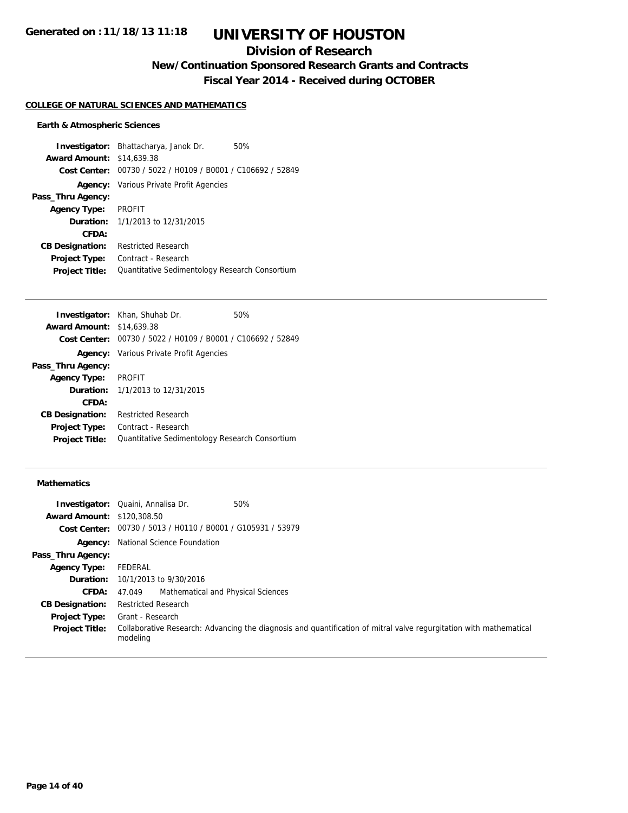## **Division of Research**

**New/Continuation Sponsored Research Grants and Contracts**

**Fiscal Year 2014 - Received during OCTOBER**

#### **COLLEGE OF NATURAL SCIENCES AND MATHEMATICS**

#### **Earth & Atmospheric Sciences**

**Investigator:** Bhattacharya, Janok Dr. 50% **Award Amount:** \$14,639.38 **Cost Center:** 00730 / 5022 / H0109 / B0001 / C106692 / 52849 **Agency:** Various Private Profit Agencies **Pass\_Thru Agency: Agency Type:** PROFIT **Duration:** 1/1/2013 to 12/31/2015 **CFDA: CB Designation:** Restricted Research **Project Type:** Contract - Research Project Title: Quantitative Sedimentology Research Consortium

|                                  | <b>Investigator:</b> Khan, Shuhab Dr.                       | 50% |
|----------------------------------|-------------------------------------------------------------|-----|
| <b>Award Amount: \$14,639.38</b> |                                                             |     |
|                                  | Cost Center: 00730 / 5022 / H0109 / B0001 / C106692 / 52849 |     |
|                                  | <b>Agency:</b> Various Private Profit Agencies              |     |
| Pass_Thru Agency:                |                                                             |     |
| <b>Agency Type:</b>              | <b>PROFIT</b>                                               |     |
|                                  | <b>Duration:</b> $1/1/2013$ to $12/31/2015$                 |     |
| <b>CFDA:</b>                     |                                                             |     |
| <b>CB Designation:</b>           | <b>Restricted Research</b>                                  |     |
| <b>Project Type:</b>             | Contract - Research                                         |     |
| <b>Project Title:</b>            | Quantitative Sedimentology Research Consortium              |     |
|                                  |                                                             |     |

#### **Mathematics**

|                                   | 50%<br><b>Investigator:</b> Quaini, Annalisa Dr.                                                                               |
|-----------------------------------|--------------------------------------------------------------------------------------------------------------------------------|
| <b>Award Amount: \$120,308.50</b> |                                                                                                                                |
|                                   | Cost Center: 00730 / 5013 / H0110 / B0001 / G105931 / 53979                                                                    |
| Agency:                           | National Science Foundation                                                                                                    |
| Pass_Thru Agency:                 |                                                                                                                                |
| <b>Agency Type:</b>               | FEDERAL                                                                                                                        |
|                                   | <b>Duration:</b> 10/1/2013 to 9/30/2016                                                                                        |
| <b>CFDA:</b>                      | Mathematical and Physical Sciences<br>47.049                                                                                   |
| <b>CB Designation:</b>            | <b>Restricted Research</b>                                                                                                     |
| <b>Project Type:</b>              | Grant - Research                                                                                                               |
| <b>Project Title:</b>             | Collaborative Research: Advancing the diagnosis and quantification of mitral valve regurgitation with mathematical<br>modeling |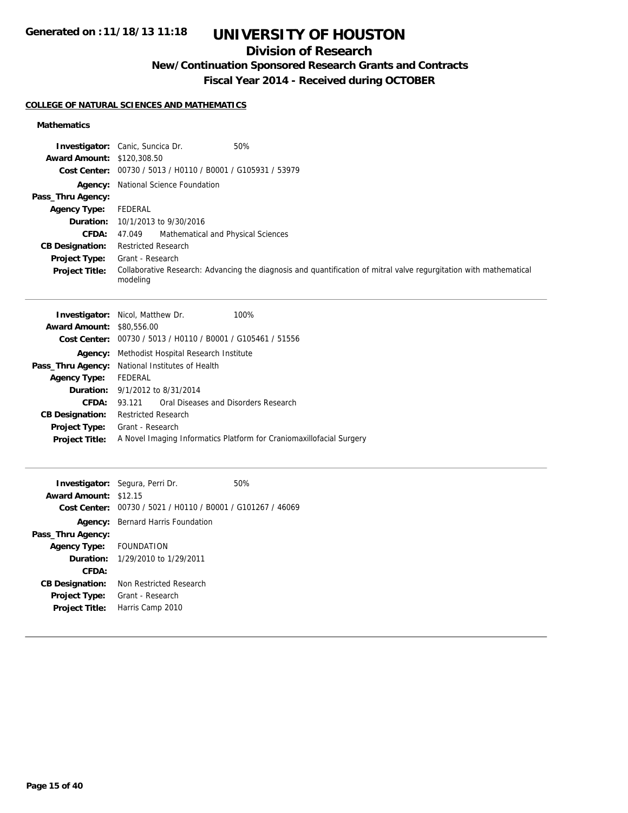## **Division of Research**

## **New/Continuation Sponsored Research Grants and Contracts**

**Fiscal Year 2014 - Received during OCTOBER**

#### **COLLEGE OF NATURAL SCIENCES AND MATHEMATICS**

#### **Mathematics**

|                                   | <b>Investigator:</b> Canic, Suncica Dr.<br>50%                                                                                 |
|-----------------------------------|--------------------------------------------------------------------------------------------------------------------------------|
| <b>Award Amount: \$120,308.50</b> |                                                                                                                                |
|                                   | Cost Center: 00730 / 5013 / H0110 / B0001 / G105931 / 53979                                                                    |
|                                   | <b>Agency:</b> National Science Foundation                                                                                     |
| Pass_Thru Agency:                 |                                                                                                                                |
| <b>Agency Type:</b>               | FEDERAL                                                                                                                        |
|                                   | <b>Duration:</b> 10/1/2013 to 9/30/2016                                                                                        |
| <b>CFDA:</b>                      | Mathematical and Physical Sciences<br>47.049                                                                                   |
| <b>CB Designation:</b>            | <b>Restricted Research</b>                                                                                                     |
| <b>Project Type:</b>              | Grant - Research                                                                                                               |
| <b>Project Title:</b>             | Collaborative Research: Advancing the diagnosis and quantification of mitral valve regurgitation with mathematical<br>modeling |

|                                  | <b>Investigator:</b> Nicol, Matthew Dr.<br>100%                      |  |
|----------------------------------|----------------------------------------------------------------------|--|
| <b>Award Amount: \$80,556.00</b> |                                                                      |  |
|                                  | <b>Cost Center:</b> $00730 / 5013 / 40110 / 80001 / 6105461 / 51556$ |  |
| Agency:                          | Methodist Hospital Research Institute                                |  |
|                                  | <b>Pass_Thru Agency:</b> National Institutes of Health               |  |
| <b>Agency Type:</b>              | FEDERAL                                                              |  |
|                                  | <b>Duration:</b> 9/1/2012 to 8/31/2014                               |  |
| CFDA:                            | Oral Diseases and Disorders Research<br>93 121                       |  |
| <b>CB Designation:</b>           | <b>Restricted Research</b>                                           |  |
| <b>Project Type:</b>             | Grant - Research                                                     |  |
| <b>Project Title:</b>            | A Novel Imaging Informatics Platform for Craniomaxillofacial Surgery |  |
|                                  |                                                                      |  |

|                              | <b>Investigator:</b> Segura, Perri Dr.                      | 50% |
|------------------------------|-------------------------------------------------------------|-----|
| <b>Award Amount: \$12.15</b> |                                                             |     |
|                              | Cost Center: 00730 / 5021 / H0110 / B0001 / G101267 / 46069 |     |
|                              | <b>Agency:</b> Bernard Harris Foundation                    |     |
| Pass_Thru Agency:            |                                                             |     |
| Agency Type: FOUNDATION      |                                                             |     |
|                              | <b>Duration:</b> 1/29/2010 to 1/29/2011                     |     |
| CFDA:                        |                                                             |     |
| <b>CB Designation:</b>       | Non Restricted Research                                     |     |
| <b>Project Type:</b>         | Grant - Research                                            |     |
| <b>Project Title:</b>        | Harris Camp 2010                                            |     |
|                              |                                                             |     |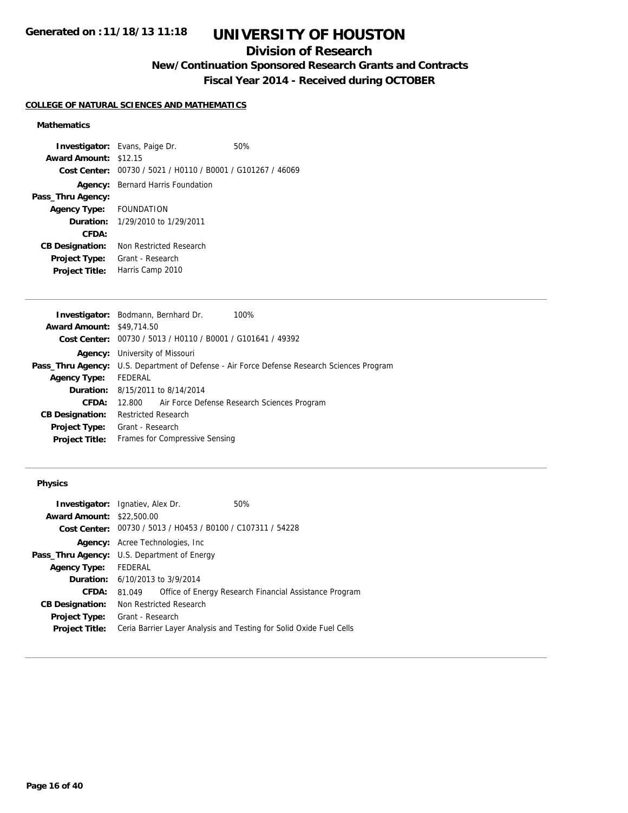### **Division of Research**

**New/Continuation Sponsored Research Grants and Contracts**

**Fiscal Year 2014 - Received during OCTOBER**

#### **COLLEGE OF NATURAL SCIENCES AND MATHEMATICS**

#### **Mathematics**

**Investigator:** Evans, Paige Dr. 60% **Award Amount:** \$12.15 **Cost Center:** 00730 / 5021 / H0110 / B0001 / G101267 / 46069 **Agency:** Bernard Harris Foundation **Pass\_Thru Agency: Agency Type:** FOUNDATION **Duration:** 1/29/2010 to 1/29/2011 **CFDA: CB Designation:** Non Restricted Research **Project Type:** Grant - Research **Project Title:** Harris Camp 2010

|                                  | <b>Investigator:</b> Bodmann, Bernhard Dr.<br>100%                                                |  |  |
|----------------------------------|---------------------------------------------------------------------------------------------------|--|--|
| <b>Award Amount: \$49,714.50</b> |                                                                                                   |  |  |
|                                  | Cost Center: 00730 / 5013 / H0110 / B0001 / G101641 / 49392                                       |  |  |
|                                  | <b>Agency:</b> University of Missouri                                                             |  |  |
|                                  | <b>Pass_Thru Agency:</b> U.S. Department of Defense - Air Force Defense Research Sciences Program |  |  |
| <b>Agency Type:</b>              | FEDERAL                                                                                           |  |  |
|                                  | <b>Duration:</b> 8/15/2011 to 8/14/2014                                                           |  |  |
| CFDA:                            | 12,800 Air Force Defense Research Sciences Program                                                |  |  |
| <b>CB Designation:</b>           | <b>Restricted Research</b>                                                                        |  |  |
| <b>Project Type:</b>             | Grant - Research                                                                                  |  |  |
| <b>Project Title:</b>            | Frames for Compressive Sensing                                                                    |  |  |
|                                  |                                                                                                   |  |  |

#### **Physics**

| <b>Investigator:</b> Ignatiev, Alex Dr.            |                  |                                                             | 50%                                                                 |
|----------------------------------------------------|------------------|-------------------------------------------------------------|---------------------------------------------------------------------|
| <b>Award Amount: \$22,500.00</b>                   |                  |                                                             |                                                                     |
|                                                    |                  | Cost Center: 00730 / 5013 / H0453 / B0100 / C107311 / 54228 |                                                                     |
| Agency:                                            |                  | Acree Technologies, Inc                                     |                                                                     |
| <b>Pass_Thru Agency:</b> U.S. Department of Energy |                  |                                                             |                                                                     |
| <b>Agency Type:</b>                                | <b>FEDERAL</b>   |                                                             |                                                                     |
| <b>Duration:</b> 6/10/2013 to 3/9/2014             |                  |                                                             |                                                                     |
| CFDA:                                              | 81.049           |                                                             | Office of Energy Research Financial Assistance Program              |
| <b>CB Designation:</b>                             |                  | Non Restricted Research                                     |                                                                     |
| <b>Project Type:</b>                               | Grant - Research |                                                             |                                                                     |
| <b>Project Title:</b>                              |                  |                                                             | Ceria Barrier Layer Analysis and Testing for Solid Oxide Fuel Cells |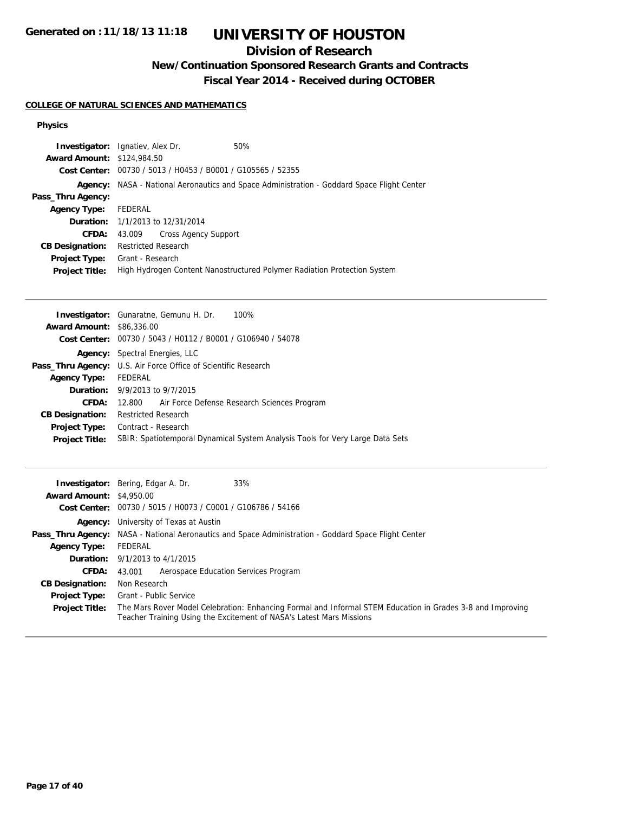## **Division of Research**

**New/Continuation Sponsored Research Grants and Contracts**

**Fiscal Year 2014 - Received during OCTOBER**

#### **COLLEGE OF NATURAL SCIENCES AND MATHEMATICS**

#### **Physics**

|                                   | <b>Investigator:</b> Ignatiev, Alex Dr.                     | 50%                                                                                               |
|-----------------------------------|-------------------------------------------------------------|---------------------------------------------------------------------------------------------------|
| <b>Award Amount: \$124,984.50</b> |                                                             |                                                                                                   |
|                                   | Cost Center: 00730 / 5013 / H0453 / B0001 / G105565 / 52355 |                                                                                                   |
|                                   |                                                             | <b>Agency:</b> NASA - National Aeronautics and Space Administration - Goddard Space Flight Center |
| Pass_Thru Agency:                 |                                                             |                                                                                                   |
| <b>Agency Type:</b>               | FEDERAL                                                     |                                                                                                   |
|                                   | <b>Duration:</b> 1/1/2013 to 12/31/2014                     |                                                                                                   |
| CFDA:                             | Cross Agency Support<br>43.009                              |                                                                                                   |
| <b>CB Designation:</b>            | <b>Restricted Research</b>                                  |                                                                                                   |
| Project Type:                     | Grant - Research                                            |                                                                                                   |
| <b>Project Title:</b>             |                                                             | High Hydrogen Content Nanostructured Polymer Radiation Protection System                          |
|                                   |                                                             |                                                                                                   |

| <b>Award Amount: \$86,336,00</b>                                                                       |  |  |
|--------------------------------------------------------------------------------------------------------|--|--|
| <b>Cost Center:</b> $00730 / 5043 / 40112 / 80001 / 6106940 / 54078$                                   |  |  |
| <b>Agency:</b> Spectral Energies, LLC                                                                  |  |  |
| <b>Pass_Thru Agency:</b> U.S. Air Force Office of Scientific Research                                  |  |  |
| FEDERAL<br><b>Agency Type:</b>                                                                         |  |  |
| <b>Duration:</b> $9/9/2013$ to $9/7/2015$                                                              |  |  |
| CFDA:<br>Air Force Defense Research Sciences Program<br>12.800                                         |  |  |
| <b>Restricted Research</b><br><b>CB Designation:</b>                                                   |  |  |
| Contract - Research<br><b>Project Type:</b>                                                            |  |  |
| SBIR: Spatiotemporal Dynamical System Analysis Tools for Very Large Data Sets<br><b>Project Title:</b> |  |  |

|                                 | 33%<br><b>Investigator:</b> Bering, Edgar A. Dr.                                                                                                                                   |  |
|---------------------------------|------------------------------------------------------------------------------------------------------------------------------------------------------------------------------------|--|
| <b>Award Amount: \$4,950.00</b> |                                                                                                                                                                                    |  |
|                                 | Cost Center: 00730 / 5015 / H0073 / C0001 / G106786 / 54166                                                                                                                        |  |
|                                 | <b>Agency:</b> University of Texas at Austin                                                                                                                                       |  |
|                                 | <b>Pass_Thru Agency:</b> NASA - National Aeronautics and Space Administration - Goddard Space Flight Center                                                                        |  |
| <b>Agency Type:</b>             | FEDERAL                                                                                                                                                                            |  |
|                                 | <b>Duration:</b> $9/1/2013$ to $4/1/2015$                                                                                                                                          |  |
| <b>CFDA:</b>                    | Aerospace Education Services Program<br>43.001                                                                                                                                     |  |
| <b>CB Designation:</b>          | Non Research                                                                                                                                                                       |  |
| Project Type:                   | Grant - Public Service                                                                                                                                                             |  |
| <b>Project Title:</b>           | The Mars Rover Model Celebration: Enhancing Formal and Informal STEM Education in Grades 3-8 and Improving<br>Teacher Training Using the Excitement of NASA's Latest Mars Missions |  |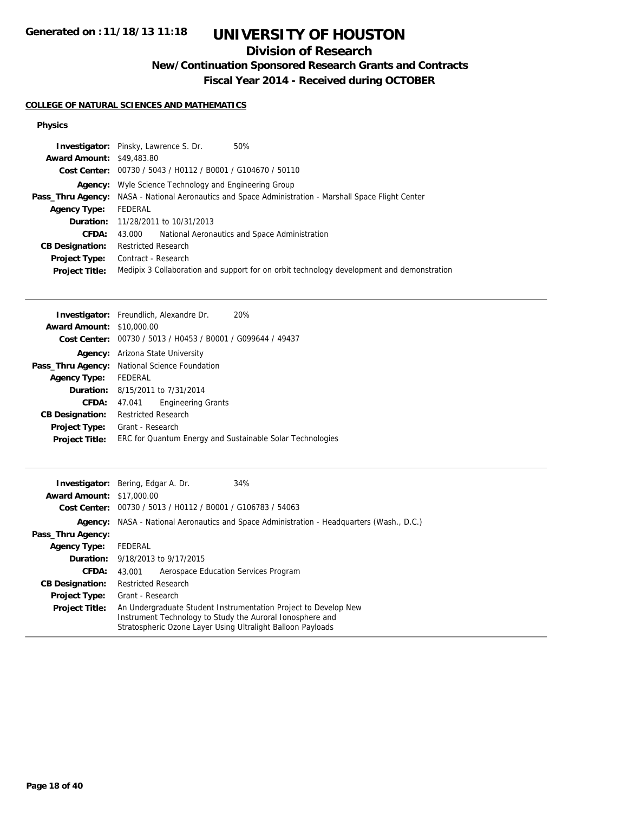### **Division of Research**

**New/Continuation Sponsored Research Grants and Contracts**

**Fiscal Year 2014 - Received during OCTOBER**

#### **COLLEGE OF NATURAL SCIENCES AND MATHEMATICS**

#### **Physics**

| <b>Investigator:</b> Pinsky, Lawrence S. Dr.<br>50%                                                          |
|--------------------------------------------------------------------------------------------------------------|
| <b>Award Amount: \$49,483.80</b>                                                                             |
| Cost Center: 00730 / 5043 / H0112 / B0001 / G104670 / 50110                                                  |
| <b>Agency:</b> Wyle Science Technology and Engineering Group                                                 |
| <b>Pass_Thru Agency:</b> NASA - National Aeronautics and Space Administration - Marshall Space Flight Center |
| FEDERAL                                                                                                      |
| <b>Duration:</b> 11/28/2011 to 10/31/2013                                                                    |
| National Aeronautics and Space Administration<br>43.000                                                      |
| <b>Restricted Research</b>                                                                                   |
| Contract - Research                                                                                          |
| Medipix 3 Collaboration and support for on orbit technology development and demonstration                    |
|                                                                                                              |

|                                  | <b>Investigator:</b> Freundlich, Alexandre Dr.<br>20%                |
|----------------------------------|----------------------------------------------------------------------|
| <b>Award Amount: \$10,000.00</b> |                                                                      |
|                                  | <b>Cost Center:</b> $00730 / 5013 / 40453 / 80001 / 6099644 / 49437$ |
|                                  | <b>Agency:</b> Arizona State University                              |
|                                  | Pass_Thru Agency: National Science Foundation                        |
| <b>Agency Type:</b>              | FEDERAL                                                              |
|                                  | <b>Duration:</b> 8/15/2011 to 7/31/2014                              |
| CFDA:                            | <b>Engineering Grants</b><br>47.041                                  |
| <b>CB Designation:</b>           | <b>Restricted Research</b>                                           |
| <b>Project Type:</b>             | Grant - Research                                                     |
| <b>Project Title:</b>            | ERC for Quantum Energy and Sustainable Solar Technologies            |

|                                  | 34%<br><b>Investigator:</b> Bering, Edgar A. Dr.                                                                                                                                            |
|----------------------------------|---------------------------------------------------------------------------------------------------------------------------------------------------------------------------------------------|
| <b>Award Amount: \$17,000.00</b> |                                                                                                                                                                                             |
|                                  | Cost Center: 00730 / 5013 / H0112 / B0001 / G106783 / 54063                                                                                                                                 |
|                                  | <b>Agency:</b> NASA - National Aeronautics and Space Administration - Headquarters (Wash., D.C.)                                                                                            |
| Pass_Thru Agency:                |                                                                                                                                                                                             |
| <b>Agency Type:</b>              | FEDERAL                                                                                                                                                                                     |
|                                  | <b>Duration:</b> 9/18/2013 to 9/17/2015                                                                                                                                                     |
| <b>CFDA:</b>                     | Aerospace Education Services Program<br>43.001                                                                                                                                              |
| <b>CB Designation:</b>           | <b>Restricted Research</b>                                                                                                                                                                  |
| <b>Project Type:</b>             | Grant - Research                                                                                                                                                                            |
| <b>Project Title:</b>            | An Undergraduate Student Instrumentation Project to Develop New<br>Instrument Technology to Study the Auroral Ionosphere and<br>Stratospheric Ozone Layer Using Ultralight Balloon Payloads |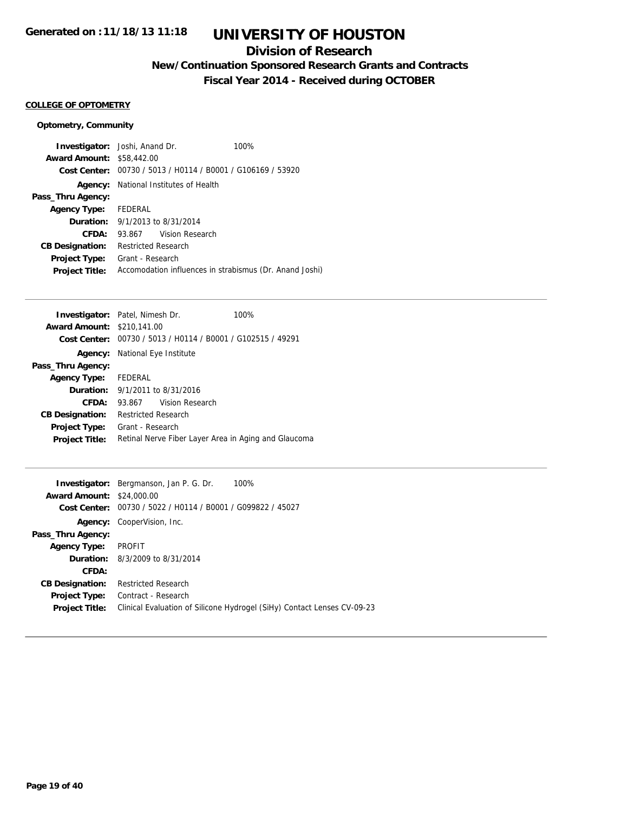### **Division of Research**

**New/Continuation Sponsored Research Grants and Contracts**

**Fiscal Year 2014 - Received during OCTOBER**

#### **COLLEGE OF OPTOMETRY**

#### **Optometry, Community**

| <b>Investigator:</b> Joshi, Anand Dr.  |                                       | 100%                                                        |                                                         |
|----------------------------------------|---------------------------------------|-------------------------------------------------------------|---------------------------------------------------------|
| <b>Award Amount: \$58,442.00</b>       |                                       |                                                             |                                                         |
|                                        |                                       | Cost Center: 00730 / 5013 / H0114 / B0001 / G106169 / 53920 |                                                         |
|                                        | Agency: National Institutes of Health |                                                             |                                                         |
| Pass_Thru Agency:                      |                                       |                                                             |                                                         |
| Agency Type: FEDERAL                   |                                       |                                                             |                                                         |
| <b>Duration:</b> 9/1/2013 to 8/31/2014 |                                       |                                                             |                                                         |
| CFDA:                                  | 93.867 Vision Research                |                                                             |                                                         |
| <b>CB Designation:</b>                 | <b>Restricted Research</b>            |                                                             |                                                         |
| <b>Project Type:</b>                   | Grant - Research                      |                                                             |                                                         |
| <b>Project Title:</b>                  |                                       |                                                             | Accomodation influences in strabismus (Dr. Anand Joshi) |

|                                   | <b>Investigator:</b> Patel, Nimesh Dr.                      | 100% |
|-----------------------------------|-------------------------------------------------------------|------|
| <b>Award Amount: \$210.141.00</b> |                                                             |      |
|                                   | Cost Center: 00730 / 5013 / H0114 / B0001 / G102515 / 49291 |      |
|                                   | <b>Agency:</b> National Eye Institute                       |      |
| Pass_Thru Agency:                 |                                                             |      |
| Agency Type: FEDERAL              |                                                             |      |
|                                   | <b>Duration:</b> $9/1/2011$ to $8/31/2016$                  |      |
| CFDA:                             | Vision Research<br>93.867                                   |      |
| <b>CB Designation:</b>            | Restricted Research                                         |      |
| <b>Project Type:</b>              | Grant - Research                                            |      |
| <b>Project Title:</b>             | Retinal Nerve Fiber Layer Area in Aging and Glaucoma        |      |
|                                   |                                                             |      |

|                                  | 100%<br><b>Investigator:</b> Bergmanson, Jan P. G. Dr.                  |
|----------------------------------|-------------------------------------------------------------------------|
| <b>Award Amount: \$24,000.00</b> |                                                                         |
| Cost Center:                     | 00730 / 5022 / H0114 / B0001 / G099822 / 45027                          |
| Agency:                          | CooperVision, Inc.                                                      |
| Pass_Thru Agency:                |                                                                         |
| <b>Agency Type:</b>              | <b>PROFIT</b>                                                           |
|                                  | <b>Duration:</b> 8/3/2009 to 8/31/2014                                  |
| CFDA:                            |                                                                         |
| <b>CB Designation:</b>           | <b>Restricted Research</b>                                              |
| <b>Project Type:</b>             | Contract - Research                                                     |
| <b>Project Title:</b>            | Clinical Evaluation of Silicone Hydrogel (SiHy) Contact Lenses CV-09-23 |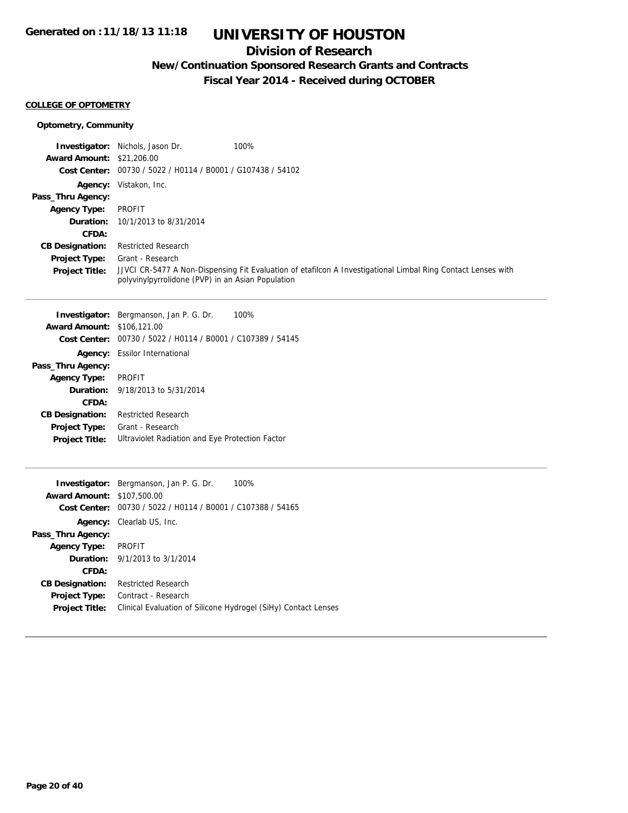## **Division of Research**

## **New/Continuation Sponsored Research Grants and Contracts**

**Fiscal Year 2014 - Received during OCTOBER**

#### **COLLEGE OF OPTOMETRY**

#### **Optometry, Community**

|                                   | <b>Investigator:</b> Nichols, Jason Dr.                     | 100%                                                                                                         |
|-----------------------------------|-------------------------------------------------------------|--------------------------------------------------------------------------------------------------------------|
| <b>Award Amount: \$21,206.00</b>  |                                                             |                                                                                                              |
|                                   | Cost Center: 00730 / 5022 / H0114 / B0001 / G107438 / 54102 |                                                                                                              |
|                                   | <b>Agency:</b> Vistakon, Inc.                               |                                                                                                              |
| Pass_Thru Agency:                 |                                                             |                                                                                                              |
| <b>Agency Type:</b>               | <b>PROFIT</b>                                               |                                                                                                              |
|                                   | <b>Duration:</b> 10/1/2013 to 8/31/2014                     |                                                                                                              |
| CFDA:                             |                                                             |                                                                                                              |
| <b>CB Designation:</b>            | <b>Restricted Research</b>                                  |                                                                                                              |
| <b>Project Type:</b>              | Grant - Research                                            |                                                                                                              |
| <b>Project Title:</b>             | polyvinylpyrrolidone (PVP) in an Asian Population           | JJVCI CR-5477 A Non-Dispensing Fit Evaluation of etafilcon A Investigational Limbal Ring Contact Lenses with |
|                                   |                                                             |                                                                                                              |
|                                   | <b>Investigator:</b> Bergmanson, Jan P. G. Dr.              | 100%                                                                                                         |
| <b>Award Amount: \$106,121.00</b> |                                                             |                                                                                                              |

| $A$ wai u Allivulit. $\theta$ 100.121.00 |                                                             |
|------------------------------------------|-------------------------------------------------------------|
|                                          | Cost Center: 00730 / 5022 / H0114 / B0001 / C107389 / 54145 |
|                                          | <b>Agency:</b> Essilor International                        |
| Pass_Thru Agency:                        |                                                             |
| <b>Agency Type:</b>                      | <b>PROFIT</b>                                               |
|                                          | <b>Duration:</b> 9/18/2013 to 5/31/2014                     |
| CFDA:                                    |                                                             |
| <b>CB Designation:</b>                   | <b>Restricted Research</b>                                  |
| <b>Project Type:</b>                     | Grant - Research                                            |
| <b>Project Title:</b>                    | Ultraviolet Radiation and Eye Protection Factor             |
|                                          |                                                             |

|                        | 100%<br><b>Investigator:</b> Bergmanson, Jan P. G. Dr.         |
|------------------------|----------------------------------------------------------------|
| <b>Award Amount:</b>   | \$107,500.00                                                   |
| Cost Center:           | 00730 / 5022 / H0114 / B0001 / C107388 / 54165                 |
| Agency:                | Clearlab US, Inc.                                              |
| Pass_Thru Agency:      |                                                                |
| <b>Agency Type:</b>    | <b>PROFIT</b>                                                  |
|                        | <b>Duration:</b> $9/1/2013$ to $3/1/2014$                      |
| CFDA:                  |                                                                |
| <b>CB Designation:</b> | <b>Restricted Research</b>                                     |
| <b>Project Type:</b>   | Contract - Research                                            |
| <b>Project Title:</b>  | Clinical Evaluation of Silicone Hydrogel (SiHy) Contact Lenses |
|                        |                                                                |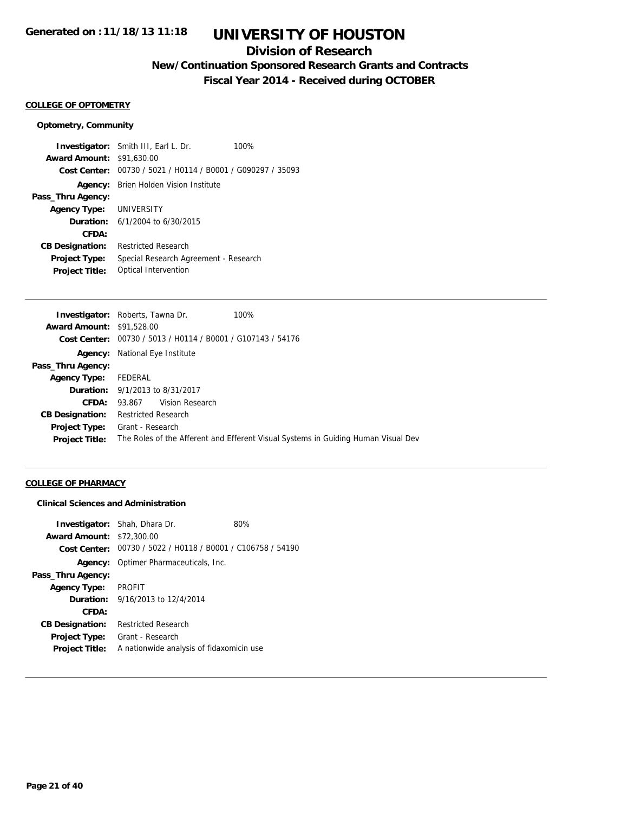### **Division of Research**

**New/Continuation Sponsored Research Grants and Contracts**

**Fiscal Year 2014 - Received during OCTOBER**

#### **COLLEGE OF OPTOMETRY**

#### **Optometry, Community**

**Investigator:** Smith III, Earl L. Dr. 100% **Award Amount:** \$91,630.00 **Cost Center:** 00730 / 5021 / H0114 / B0001 / G090297 / 35093 **Agency:** Brien Holden Vision Institute **Pass\_Thru Agency: Agency Type:** UNIVERSITY **Duration:** 6/1/2004 to 6/30/2015 **CFDA: CB Designation:** Restricted Research **Project Type:** Special Research Agreement - Research **Project Title:** Optical Intervention

|                                  | <b>Investigator:</b> Roberts, Tawna Dr.                     | 100%                                                                              |
|----------------------------------|-------------------------------------------------------------|-----------------------------------------------------------------------------------|
| <b>Award Amount: \$91,528.00</b> |                                                             |                                                                                   |
|                                  | Cost Center: 00730 / 5013 / H0114 / B0001 / G107143 / 54176 |                                                                                   |
| Agency:                          | National Eye Institute                                      |                                                                                   |
| Pass_Thru Agency:                |                                                             |                                                                                   |
| <b>Agency Type:</b>              | FEDERAL                                                     |                                                                                   |
|                                  | <b>Duration:</b> 9/1/2013 to 8/31/2017                      |                                                                                   |
| CFDA:                            | 93.867 Vision Research                                      |                                                                                   |
| <b>CB Designation:</b>           | Restricted Research                                         |                                                                                   |
| <b>Project Type:</b>             | Grant - Research                                            |                                                                                   |
| <b>Project Title:</b>            |                                                             | The Roles of the Afferent and Efferent Visual Systems in Guiding Human Visual Dev |
|                                  |                                                             |                                                                                   |

#### **COLLEGE OF PHARMACY**

#### **Clinical Sciences and Administration**

|                                  | <b>Investigator:</b> Shah, Dhara Dr.                        | 80% |
|----------------------------------|-------------------------------------------------------------|-----|
| <b>Award Amount: \$72,300.00</b> |                                                             |     |
|                                  | Cost Center: 00730 / 5022 / H0118 / B0001 / C106758 / 54190 |     |
|                                  | <b>Agency:</b> Optimer Pharmaceuticals, Inc.                |     |
| Pass_Thru Agency:                |                                                             |     |
| <b>Agency Type:</b>              | <b>PROFIT</b>                                               |     |
|                                  | <b>Duration:</b> 9/16/2013 to 12/4/2014                     |     |
| CFDA:                            |                                                             |     |
| <b>CB Designation:</b>           | <b>Restricted Research</b>                                  |     |
| <b>Project Type:</b>             | Grant - Research                                            |     |
| <b>Project Title:</b>            | A nationwide analysis of fidaxomicin use                    |     |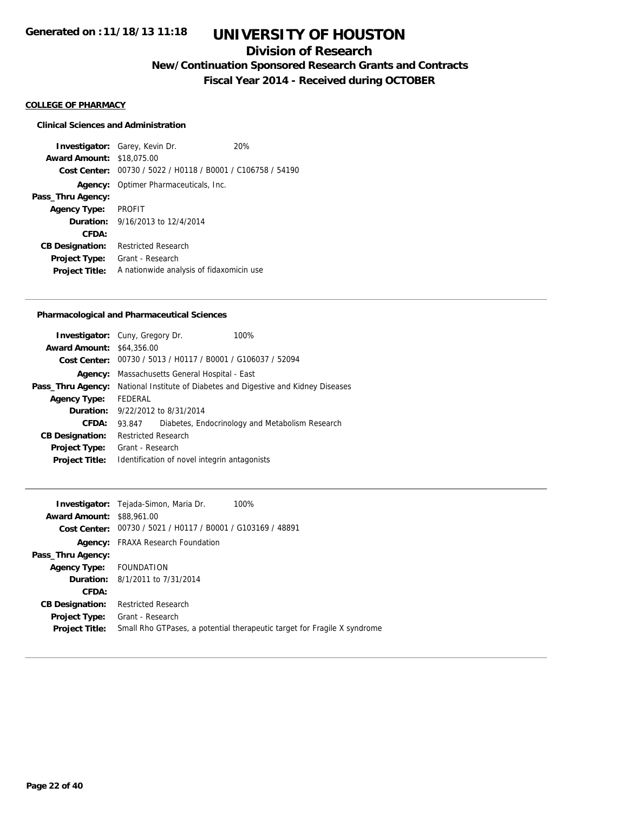### **Division of Research**

**New/Continuation Sponsored Research Grants and Contracts**

**Fiscal Year 2014 - Received during OCTOBER**

#### **COLLEGE OF PHARMACY**

#### **Clinical Sciences and Administration**

**Investigator:** Garey, Kevin Dr. 20% **Award Amount:** \$18,075.00 **Cost Center:** 00730 / 5022 / H0118 / B0001 / C106758 / 54190 **Agency:** Optimer Pharmaceuticals, Inc. **Pass\_Thru Agency: Agency Type:** PROFIT **Duration:** 9/16/2013 to 12/4/2014 **CFDA: CB Designation:** Restricted Research **Project Type:** Grant - Research **Project Title:** A nationwide analysis of fidaxomicin use

#### **Pharmacological and Pharmaceutical Sciences**

| <b>Investigator:</b> Cuny, Gregory Dr. |                            |                                         | 100%                                                             |
|----------------------------------------|----------------------------|-----------------------------------------|------------------------------------------------------------------|
| <b>Award Amount: \$64,356,00</b>       |                            |                                         |                                                                  |
|                                        |                            |                                         | Cost Center: 00730 / 5013 / H0117 / B0001 / G106037 / 52094      |
| Agency:                                |                            | Massachusetts General Hospital - East   |                                                                  |
| Pass_Thru Agency:                      |                            |                                         | National Institute of Diabetes and Digestive and Kidney Diseases |
| <b>Agency Type:</b>                    | FEDERAL                    |                                         |                                                                  |
|                                        |                            | <b>Duration:</b> 9/22/2012 to 8/31/2014 |                                                                  |
| CFDA:                                  | 93.847                     |                                         | Diabetes, Endocrinology and Metabolism Research                  |
| <b>CB Designation:</b>                 | <b>Restricted Research</b> |                                         |                                                                  |
| <b>Project Type:</b>                   | Grant - Research           |                                         |                                                                  |
| <b>Project Title:</b>                  |                            |                                         | Identification of novel integrin antagonists                     |
|                                        |                            |                                         |                                                                  |

|                                  | <b>Investigator:</b> Tejada-Simon, Maria Dr.<br>100%                     |
|----------------------------------|--------------------------------------------------------------------------|
| <b>Award Amount: \$88,961.00</b> |                                                                          |
|                                  | Cost Center: 00730 / 5021 / H0117 / B0001 / G103169 / 48891              |
|                                  | <b>Agency:</b> FRAXA Research Foundation                                 |
| Pass_Thru Agency:                |                                                                          |
| Agency Type: FOUNDATION          |                                                                          |
|                                  | <b>Duration:</b> 8/1/2011 to 7/31/2014                                   |
| CFDA:                            |                                                                          |
| <b>CB Designation:</b>           | <b>Restricted Research</b>                                               |
| Project Type:                    | Grant - Research                                                         |
| <b>Project Title:</b>            | Small Rho GTPases, a potential therapeutic target for Fragile X syndrome |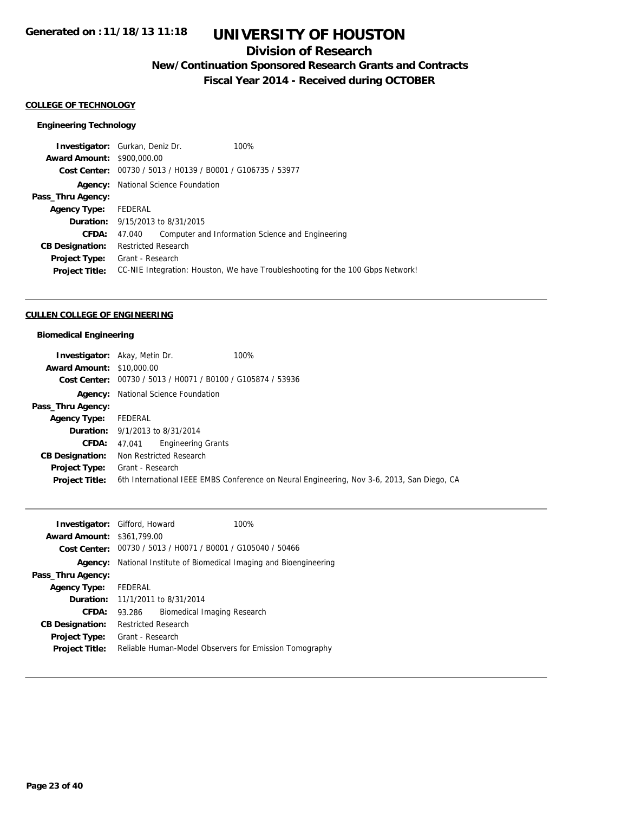### **Division of Research**

**New/Continuation Sponsored Research Grants and Contracts**

**Fiscal Year 2014 - Received during OCTOBER**

#### **COLLEGE OF TECHNOLOGY**

#### **Engineering Technology**

| <b>Investigator:</b> Gurkan, Deniz Dr. |                                         | 100%                                                                           |
|----------------------------------------|-----------------------------------------|--------------------------------------------------------------------------------|
| <b>Award Amount: \$900,000.00</b>      |                                         |                                                                                |
|                                        |                                         | Cost Center: 00730 / 5013 / H0139 / B0001 / G106735 / 53977                    |
| Agency:                                | National Science Foundation             |                                                                                |
| Pass_Thru Agency:                      |                                         |                                                                                |
| <b>Agency Type:</b>                    | FEDERAL                                 |                                                                                |
|                                        | <b>Duration:</b> 9/15/2013 to 8/31/2015 |                                                                                |
| CFDA:                                  | 47.040                                  | Computer and Information Science and Engineering                               |
| <b>CB Designation:</b>                 | <b>Restricted Research</b>              |                                                                                |
| Project Type:                          | Grant - Research                        |                                                                                |
| <b>Project Title:</b>                  |                                         | CC-NIE Integration: Houston, We have Troubleshooting for the 100 Gbps Network! |
|                                        |                                         |                                                                                |

#### **CULLEN COLLEGE OF ENGINEERING**

#### **Biomedical Engineering**

|                                  | 100%<br><b>Investigator:</b> Akay, Metin Dr.                |                                                                                            |
|----------------------------------|-------------------------------------------------------------|--------------------------------------------------------------------------------------------|
| <b>Award Amount: \$10,000.00</b> |                                                             |                                                                                            |
|                                  | Cost Center: 00730 / 5013 / H0071 / B0100 / G105874 / 53936 |                                                                                            |
|                                  | <b>Agency:</b> National Science Foundation                  |                                                                                            |
| Pass_Thru Agency:                |                                                             |                                                                                            |
| <b>Agency Type:</b>              | FEDERAL                                                     |                                                                                            |
|                                  | <b>Duration:</b> 9/1/2013 to 8/31/2014                      |                                                                                            |
| <b>CFDA:</b>                     | <b>Engineering Grants</b><br>47.041                         |                                                                                            |
| <b>CB Designation:</b>           | Non Restricted Research                                     |                                                                                            |
|                                  | <b>Project Type:</b> Grant - Research                       |                                                                                            |
| <b>Project Title:</b>            |                                                             | 6th International IEEE EMBS Conference on Neural Engineering, Nov 3-6, 2013, San Diego, CA |

|                                   | $100\%$<br><b>Investigator:</b> Gifford, Howard                            |
|-----------------------------------|----------------------------------------------------------------------------|
| <b>Award Amount: \$361,799.00</b> |                                                                            |
|                                   | Cost Center: 00730 / 5013 / H0071 / B0001 / G105040 / 50466                |
|                                   | <b>Agency:</b> National Institute of Biomedical Imaging and Bioengineering |
| Pass_Thru Agency:                 |                                                                            |
| <b>Agency Type:</b>               | FEDERAL                                                                    |
|                                   | <b>Duration:</b> 11/1/2011 to 8/31/2014                                    |
| <b>CFDA:</b>                      | Biomedical Imaging Research<br>93.286                                      |
| <b>CB Designation:</b>            | <b>Restricted Research</b>                                                 |
| <b>Project Type:</b>              | Grant - Research                                                           |
| <b>Project Title:</b>             | Reliable Human-Model Observers for Emission Tomography                     |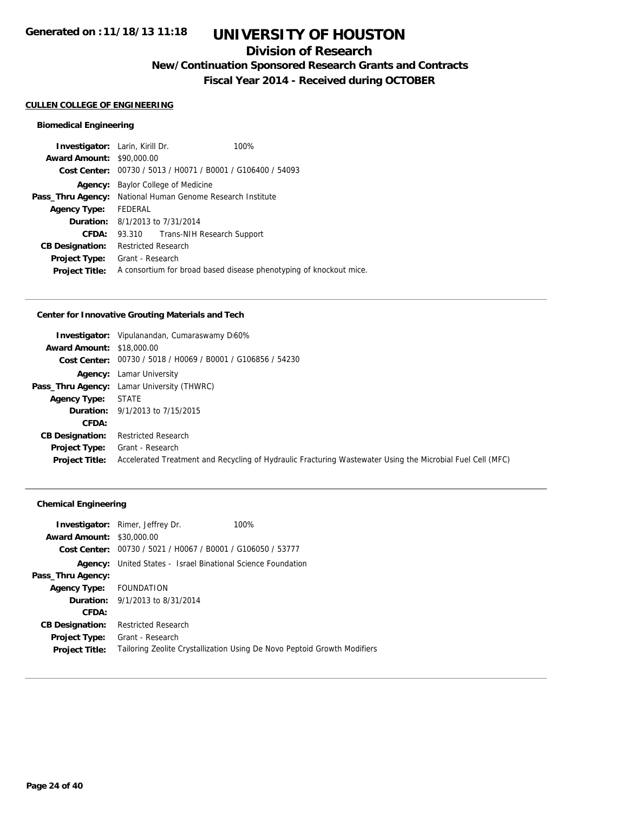### **Division of Research**

**New/Continuation Sponsored Research Grants and Contracts**

**Fiscal Year 2014 - Received during OCTOBER**

#### **CULLEN COLLEGE OF ENGINEERING**

#### **Biomedical Engineering**

| <b>Investigator:</b> Larin, Kirill Dr. |                                                             | 100%                                                               |
|----------------------------------------|-------------------------------------------------------------|--------------------------------------------------------------------|
| <b>Award Amount: \$90,000.00</b>       |                                                             |                                                                    |
|                                        | Cost Center: 00730 / 5013 / H0071 / B0001 / G106400 / 54093 |                                                                    |
| Agency:                                | Baylor College of Medicine                                  |                                                                    |
| Pass_Thru Agency:                      | National Human Genome Research Institute                    |                                                                    |
| <b>Agency Type:</b>                    | FEDERAL                                                     |                                                                    |
|                                        | <b>Duration:</b> 8/1/2013 to 7/31/2014                      |                                                                    |
| CFDA:                                  | Trans-NIH Research Support<br>93.310                        |                                                                    |
| <b>CB Designation:</b>                 | <b>Restricted Research</b>                                  |                                                                    |
| <b>Project Type:</b>                   | Grant - Research                                            |                                                                    |
| <b>Project Title:</b>                  |                                                             | A consortium for broad based disease phenotyping of knockout mice. |
|                                        |                                                             |                                                                    |

#### **Center for Innovative Grouting Materials and Tech**

|                                  | <b>Investigator:</b> Vipulanandan, Cumaraswamy D <sub>160</sub> %                                          |
|----------------------------------|------------------------------------------------------------------------------------------------------------|
| <b>Award Amount: \$18,000.00</b> |                                                                                                            |
|                                  | Cost Center: 00730 / 5018 / H0069 / B0001 / G106856 / 54230                                                |
|                                  | <b>Agency:</b> Lamar University                                                                            |
|                                  | Pass_Thru Agency: Lamar University (THWRC)                                                                 |
| <b>Agency Type:</b>              | <b>STATE</b>                                                                                               |
|                                  | <b>Duration:</b> 9/1/2013 to 7/15/2015                                                                     |
| CFDA:                            |                                                                                                            |
| <b>CB Designation:</b>           | <b>Restricted Research</b>                                                                                 |
| Project Type:                    | Grant - Research                                                                                           |
| <b>Project Title:</b>            | Accelerated Treatment and Recycling of Hydraulic Fracturing Wastewater Using the Microbial Fuel Cell (MFC) |

#### **Chemical Engineering**

| <b>Investigator:</b> Rimer, Jeffrey Dr.                             | 100%                                                                     |
|---------------------------------------------------------------------|--------------------------------------------------------------------------|
| <b>Award Amount:</b><br>\$30,000.00                                 |                                                                          |
| 00730 / 5021 / H0067 / B0001 / G106050 / 53777<br>Cost Center:      |                                                                          |
| <b>Agency:</b> United States - Israel Binational Science Foundation |                                                                          |
|                                                                     |                                                                          |
| Agency Type: FOUNDATION                                             |                                                                          |
| <b>Duration:</b> 9/1/2013 to 8/31/2014                              |                                                                          |
|                                                                     |                                                                          |
| <b>Restricted Research</b>                                          |                                                                          |
| Grant - Research                                                    |                                                                          |
|                                                                     | Tailoring Zeolite Crystallization Using De Novo Peptoid Growth Modifiers |
|                                                                     |                                                                          |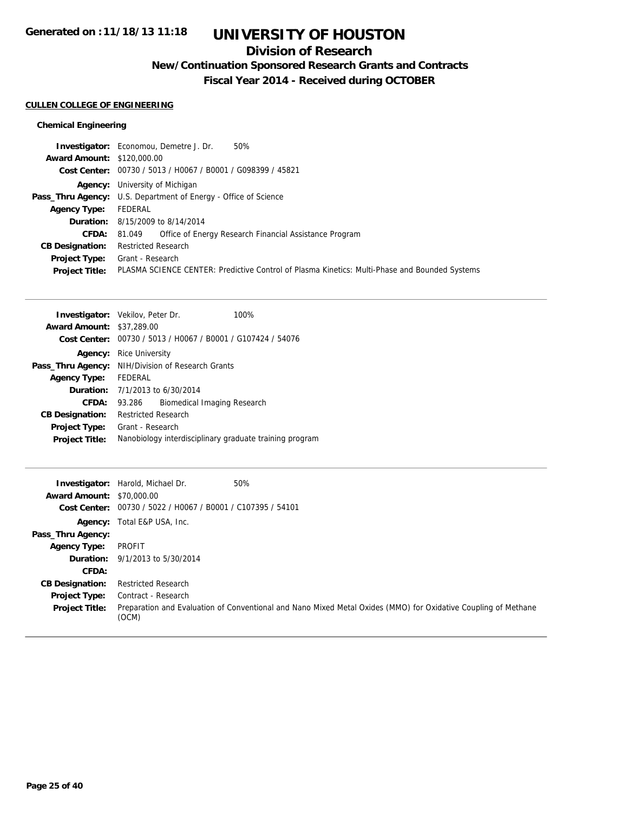### **Division of Research**

**New/Continuation Sponsored Research Grants and Contracts**

**Fiscal Year 2014 - Received during OCTOBER**

#### **CULLEN COLLEGE OF ENGINEERING**

#### **Chemical Engineering**

|                                   | 50%<br><b>Investigator:</b> Economou, Demetre J. Dr.                                          |
|-----------------------------------|-----------------------------------------------------------------------------------------------|
| <b>Award Amount: \$120,000.00</b> |                                                                                               |
|                                   | Cost Center: 00730 / 5013 / H0067 / B0001 / G098399 / 45821                                   |
|                                   | <b>Agency:</b> University of Michigan                                                         |
|                                   | <b>Pass_Thru Agency:</b> U.S. Department of Energy - Office of Science                        |
| <b>Agency Type:</b>               | FEDERAL                                                                                       |
|                                   | <b>Duration:</b> 8/15/2009 to 8/14/2014                                                       |
| <b>CFDA:</b>                      | Office of Energy Research Financial Assistance Program<br>81.049                              |
| <b>CB Designation:</b>            | <b>Restricted Research</b>                                                                    |
| <b>Project Type:</b>              | Grant - Research                                                                              |
| <b>Project Title:</b>             | PLASMA SCIENCE CENTER: Predictive Control of Plasma Kinetics: Multi-Phase and Bounded Systems |

| <b>Investigator:</b> Vekilov, Peter Dr. |                                                         |                             | 100%                                                        |
|-----------------------------------------|---------------------------------------------------------|-----------------------------|-------------------------------------------------------------|
| <b>Award Amount: \$37,289.00</b>        |                                                         |                             |                                                             |
|                                         |                                                         |                             | Cost Center: 00730 / 5013 / H0067 / B0001 / G107424 / 54076 |
| Agency:                                 | <b>Rice University</b>                                  |                             |                                                             |
| Pass_Thru Agency:                       | NIH/Division of Research Grants                         |                             |                                                             |
| <b>Agency Type:</b>                     | FFDFRAL                                                 |                             |                                                             |
|                                         | <b>Duration:</b> $7/1/2013$ to $6/30/2014$              |                             |                                                             |
| CFDA:                                   | 93.286                                                  | Biomedical Imaging Research |                                                             |
| <b>CB Designation:</b>                  | Restricted Research                                     |                             |                                                             |
| <b>Project Type:</b>                    | Grant - Research                                        |                             |                                                             |
| <b>Project Title:</b>                   | Nanobiology interdisciplinary graduate training program |                             |                                                             |

| <b>Award Amount: \$70,000.00</b><br>Cost Center: | 50%<br><b>Investigator:</b> Harold, Michael Dr.<br>00730 / 5022 / H0067 / B0001 / C107395 / 54101                       |
|--------------------------------------------------|-------------------------------------------------------------------------------------------------------------------------|
|                                                  | <b>Agency:</b> Total E&P USA, Inc.                                                                                      |
| Pass_Thru Agency:                                |                                                                                                                         |
| <b>Agency Type:</b>                              | PROFIT                                                                                                                  |
| <b>Duration:</b>                                 | 9/1/2013 to 5/30/2014                                                                                                   |
| CFDA:                                            |                                                                                                                         |
| <b>CB Designation:</b>                           | <b>Restricted Research</b>                                                                                              |
| Project Type:                                    | Contract - Research                                                                                                     |
| <b>Project Title:</b>                            | Preparation and Evaluation of Conventional and Nano Mixed Metal Oxides (MMO) for Oxidative Coupling of Methane<br>(OCM) |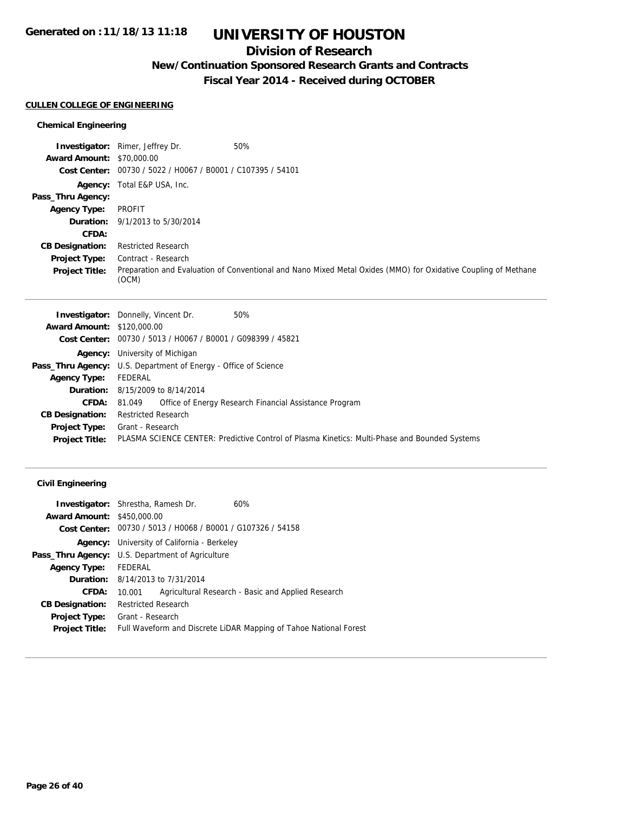### **Division of Research**

**New/Continuation Sponsored Research Grants and Contracts**

**Fiscal Year 2014 - Received during OCTOBER**

#### **CULLEN COLLEGE OF ENGINEERING**

#### **Chemical Engineering**

|                                  | <b>Investigator:</b> Rimer, Jeffrey Dr.                     | 50%                                                                                                            |
|----------------------------------|-------------------------------------------------------------|----------------------------------------------------------------------------------------------------------------|
| <b>Award Amount: \$70,000.00</b> |                                                             |                                                                                                                |
|                                  | Cost Center: 00730 / 5022 / H0067 / B0001 / C107395 / 54101 |                                                                                                                |
|                                  | <b>Agency:</b> Total E&P USA, Inc.                          |                                                                                                                |
| Pass_Thru Agency:                |                                                             |                                                                                                                |
| <b>Agency Type:</b>              | PROFIT                                                      |                                                                                                                |
|                                  | <b>Duration:</b> 9/1/2013 to 5/30/2014                      |                                                                                                                |
| CFDA:                            |                                                             |                                                                                                                |
| <b>CB Designation:</b>           | <b>Restricted Research</b>                                  |                                                                                                                |
| Project Type:                    | Contract - Research                                         |                                                                                                                |
| <b>Project Title:</b>            | (OCM)                                                       | Preparation and Evaluation of Conventional and Nano Mixed Metal Oxides (MMO) for Oxidative Coupling of Methane |

|                                   | 50%<br><b>Investigator:</b> Donnelly, Vincent Dr.                                             |
|-----------------------------------|-----------------------------------------------------------------------------------------------|
| <b>Award Amount: \$120,000.00</b> |                                                                                               |
|                                   | Cost Center: 00730 / 5013 / H0067 / B0001 / G098399 / 45821                                   |
|                                   | <b>Agency:</b> University of Michigan                                                         |
|                                   | <b>Pass_Thru Agency:</b> U.S. Department of Energy - Office of Science                        |
| <b>Agency Type:</b>               | FEDERAL                                                                                       |
|                                   | <b>Duration:</b> 8/15/2009 to 8/14/2014                                                       |
| <b>CFDA:</b>                      | Office of Energy Research Financial Assistance Program<br>81.049                              |
| <b>CB Designation:</b>            | <b>Restricted Research</b>                                                                    |
| <b>Project Type:</b>              | Grant - Research                                                                              |
| <b>Project Title:</b>             | PLASMA SCIENCE CENTER: Predictive Control of Plasma Kinetics: Multi-Phase and Bounded Systems |
|                                   |                                                                                               |

| <b>Investigator:</b> Shrestha, Ramesh Dr. |                                                                   |  | 60%                                                         |
|-------------------------------------------|-------------------------------------------------------------------|--|-------------------------------------------------------------|
| <b>Award Amount: \$450,000.00</b>         |                                                                   |  |                                                             |
|                                           |                                                                   |  | Cost Center: 00730 / 5013 / H0068 / B0001 / G107326 / 54158 |
|                                           | <b>Agency:</b> University of California - Berkeley                |  |                                                             |
|                                           | Pass_Thru Agency: U.S. Department of Agriculture                  |  |                                                             |
| <b>Agency Type:</b>                       | FEDERAL                                                           |  |                                                             |
|                                           | <b>Duration:</b> 8/14/2013 to 7/31/2014                           |  |                                                             |
| CFDA:                                     | Agricultural Research - Basic and Applied Research<br>10.001      |  |                                                             |
| <b>CB Designation:</b>                    | <b>Restricted Research</b>                                        |  |                                                             |
| <b>Project Type:</b>                      | Grant - Research                                                  |  |                                                             |
| <b>Project Title:</b>                     | Full Waveform and Discrete LiDAR Mapping of Tahoe National Forest |  |                                                             |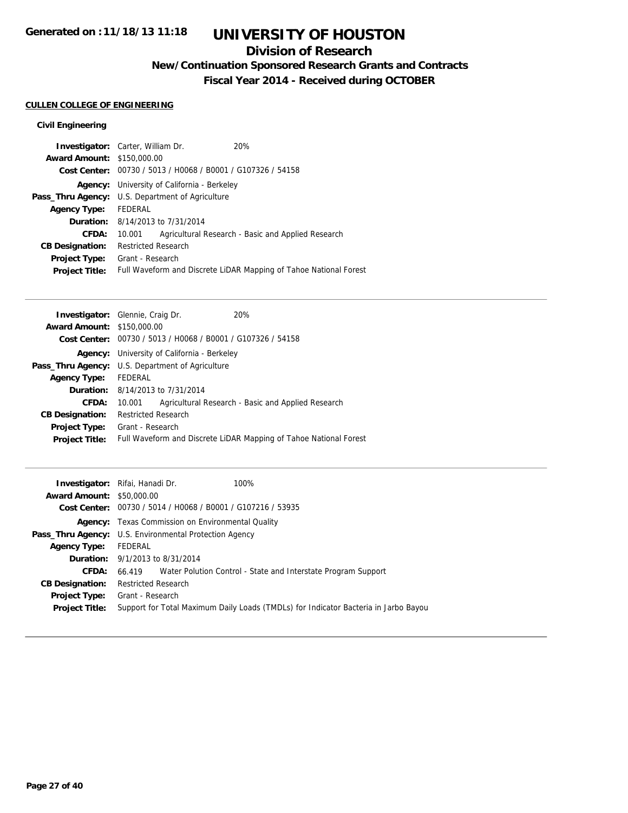### **Division of Research**

**New/Continuation Sponsored Research Grants and Contracts**

**Fiscal Year 2014 - Received during OCTOBER**

#### **CULLEN COLLEGE OF ENGINEERING**

| <b>Award Amount: \$150,000.00</b><br>Cost Center: 00730 / 5013 / H0068 / B0001 / G107326 / 54158<br><b>Agency:</b> University of California - Berkeley<br><b>Pass_Thru Agency:</b> U.S. Department of Agriculture<br>FEDERAL<br><b>Agency Type:</b><br><b>Duration:</b> 8/14/2013 to 7/31/2014<br>Agricultural Research - Basic and Applied Research<br>CFDA:<br>10.001<br><b>Restricted Research</b><br><b>CB Designation:</b><br>Grant - Research<br><b>Project Type:</b> |                       | <b>Investigator:</b> Carter, William Dr. | 20% |  |
|-----------------------------------------------------------------------------------------------------------------------------------------------------------------------------------------------------------------------------------------------------------------------------------------------------------------------------------------------------------------------------------------------------------------------------------------------------------------------------|-----------------------|------------------------------------------|-----|--|
|                                                                                                                                                                                                                                                                                                                                                                                                                                                                             |                       |                                          |     |  |
|                                                                                                                                                                                                                                                                                                                                                                                                                                                                             |                       |                                          |     |  |
|                                                                                                                                                                                                                                                                                                                                                                                                                                                                             |                       |                                          |     |  |
|                                                                                                                                                                                                                                                                                                                                                                                                                                                                             |                       |                                          |     |  |
|                                                                                                                                                                                                                                                                                                                                                                                                                                                                             |                       |                                          |     |  |
|                                                                                                                                                                                                                                                                                                                                                                                                                                                                             |                       |                                          |     |  |
|                                                                                                                                                                                                                                                                                                                                                                                                                                                                             |                       |                                          |     |  |
|                                                                                                                                                                                                                                                                                                                                                                                                                                                                             |                       |                                          |     |  |
|                                                                                                                                                                                                                                                                                                                                                                                                                                                                             |                       |                                          |     |  |
| Full Waveform and Discrete LiDAR Mapping of Tahoe National Forest                                                                                                                                                                                                                                                                                                                                                                                                           | <b>Project Title:</b> |                                          |     |  |

| <b>Investigator:</b> Glennie, Craig Dr. |                                                         |                                                             | 20%                                                               |
|-----------------------------------------|---------------------------------------------------------|-------------------------------------------------------------|-------------------------------------------------------------------|
| <b>Award Amount: \$150,000.00</b>       |                                                         |                                                             |                                                                   |
|                                         |                                                         | Cost Center: 00730 / 5013 / H0068 / B0001 / G107326 / 54158 |                                                                   |
|                                         | <b>Agency:</b> University of California - Berkeley      |                                                             |                                                                   |
|                                         | <b>Pass_Thru Agency:</b> U.S. Department of Agriculture |                                                             |                                                                   |
| <b>Agency Type:</b>                     | FEDERAL                                                 |                                                             |                                                                   |
|                                         |                                                         | <b>Duration:</b> 8/14/2013 to 7/31/2014                     |                                                                   |
| <b>CFDA:</b>                            | 10.001                                                  |                                                             | Agricultural Research - Basic and Applied Research                |
| <b>CB Designation:</b>                  | <b>Restricted Research</b>                              |                                                             |                                                                   |
| <b>Project Type:</b>                    | Grant - Research                                        |                                                             |                                                                   |
| <b>Project Title:</b>                   |                                                         |                                                             | Full Waveform and Discrete LiDAR Mapping of Tahoe National Forest |
|                                         |                                                         |                                                             |                                                                   |

|                                  | 100%<br><b>Investigator:</b> Rifai, Hanadi Dr.                                      |
|----------------------------------|-------------------------------------------------------------------------------------|
| <b>Award Amount: \$50,000.00</b> |                                                                                     |
|                                  | Cost Center: 00730 / 5014 / H0068 / B0001 / G107216 / 53935                         |
|                                  | <b>Agency:</b> Texas Commission on Environmental Quality                            |
|                                  | Pass_Thru Agency: U.S. Environmental Protection Agency                              |
| <b>Agency Type:</b>              | FEDERAL                                                                             |
|                                  | <b>Duration:</b> $9/1/2013$ to $8/31/2014$                                          |
| <b>CFDA:</b>                     | Water Polution Control - State and Interstate Program Support<br>66.419             |
| <b>CB Designation:</b>           | <b>Restricted Research</b>                                                          |
| <b>Project Type:</b>             | Grant - Research                                                                    |
| <b>Project Title:</b>            | Support for Total Maximum Daily Loads (TMDLs) for Indicator Bacteria in Jarbo Bayou |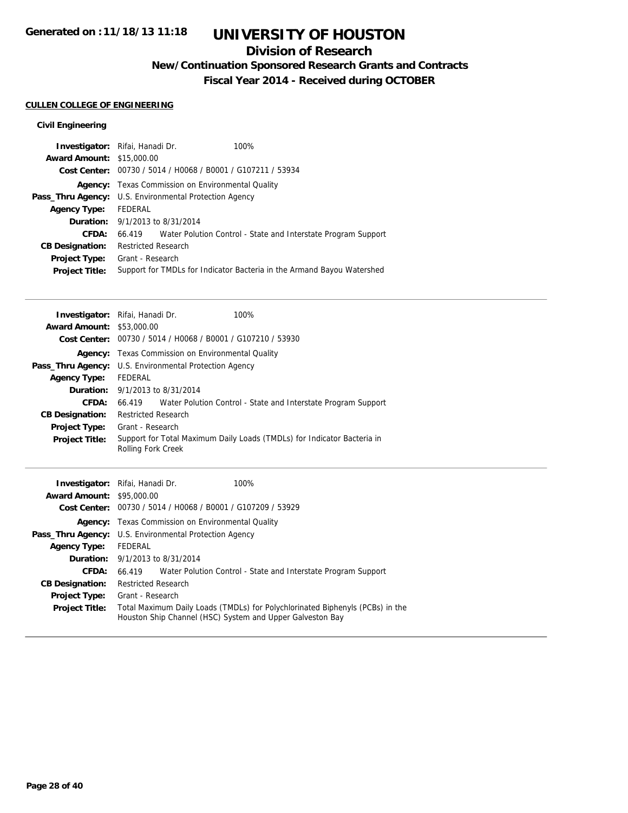### **Division of Research**

**New/Continuation Sponsored Research Grants and Contracts**

**Fiscal Year 2014 - Received during OCTOBER**

#### **CULLEN COLLEGE OF ENGINEERING**

| <b>Investigator:</b> Rifai, Hanadi Dr. |                                        |                                                             | $100\%$                                                                |
|----------------------------------------|----------------------------------------|-------------------------------------------------------------|------------------------------------------------------------------------|
| <b>Award Amount: \$15,000.00</b>       |                                        |                                                             |                                                                        |
|                                        |                                        | Cost Center: 00730 / 5014 / H0068 / B0001 / G107211 / 53934 |                                                                        |
| Agency:                                |                                        | Texas Commission on Environmental Quality                   |                                                                        |
| Pass_Thru Agency:                      |                                        | U.S. Environmental Protection Agency                        |                                                                        |
| <b>Agency Type:</b>                    | FEDERAL                                |                                                             |                                                                        |
|                                        | <b>Duration:</b> 9/1/2013 to 8/31/2014 |                                                             |                                                                        |
| CFDA:                                  |                                        |                                                             | 66.419 Water Polution Control - State and Interstate Program Support   |
| <b>CB Designation:</b>                 | <b>Restricted Research</b>             |                                                             |                                                                        |
| <b>Project Type:</b>                   | Grant - Research                       |                                                             |                                                                        |
| <b>Project Title:</b>                  |                                        |                                                             | Support for TMDLs for Indicator Bacteria in the Armand Bayou Watershed |

|                                  | <b>Investigator:</b> Rifai, Hanadi Dr.                        | 100%                                                                    |
|----------------------------------|---------------------------------------------------------------|-------------------------------------------------------------------------|
| <b>Award Amount: \$53,000.00</b> |                                                               |                                                                         |
|                                  | Cost Center: 00730 / 5014 / H0068 / B0001 / G107210 / 53930   |                                                                         |
| Agency:                          | Texas Commission on Environmental Quality                     |                                                                         |
|                                  | <b>Pass_Thru Agency:</b> U.S. Environmental Protection Agency |                                                                         |
| <b>Agency Type:</b>              | FEDERAL                                                       |                                                                         |
|                                  | <b>Duration:</b> 9/1/2013 to 8/31/2014                        |                                                                         |
| CFDA:                            |                                                               | 66.419 Water Polution Control - State and Interstate Program Support    |
| <b>CB Designation:</b>           | <b>Restricted Research</b>                                    |                                                                         |
| <b>Project Type:</b>             | Grant - Research                                              |                                                                         |
| <b>Project Title:</b>            | <b>Rolling Fork Creek</b>                                     | Support for Total Maximum Daily Loads (TMDLs) for Indicator Bacteria in |

|                                  | 100%<br>Investigator: Rifai, Hanadi Dr.                                                                                                    |  |
|----------------------------------|--------------------------------------------------------------------------------------------------------------------------------------------|--|
| <b>Award Amount: \$95,000.00</b> |                                                                                                                                            |  |
|                                  | Cost Center: 00730 / 5014 / H0068 / B0001 / G107209 / 53929                                                                                |  |
|                                  | <b>Agency:</b> Texas Commission on Environmental Quality                                                                                   |  |
|                                  | <b>Pass_Thru Agency:</b> U.S. Environmental Protection Agency                                                                              |  |
| <b>Agency Type:</b>              | FEDERAL                                                                                                                                    |  |
|                                  | <b>Duration:</b> 9/1/2013 to 8/31/2014                                                                                                     |  |
| CFDA:                            | 66.419 Water Polution Control - State and Interstate Program Support                                                                       |  |
| <b>CB Designation:</b>           | <b>Restricted Research</b>                                                                                                                 |  |
| <b>Project Type:</b>             | Grant - Research                                                                                                                           |  |
| <b>Project Title:</b>            | Total Maximum Daily Loads (TMDLs) for Polychlorinated Biphenyls (PCBs) in the<br>Houston Ship Channel (HSC) System and Upper Galveston Bay |  |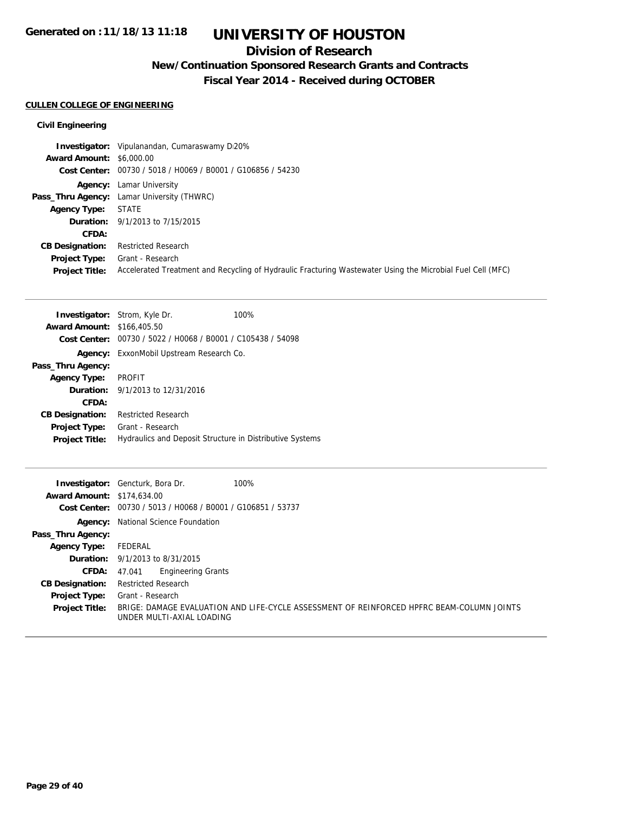### **Division of Research**

## **New/Continuation Sponsored Research Grants and Contracts**

**Fiscal Year 2014 - Received during OCTOBER**

#### **CULLEN COLLEGE OF ENGINEERING**

|                                 | <b>Investigator:</b> Vipulanandan, Cumaraswamy D20%                                                        |
|---------------------------------|------------------------------------------------------------------------------------------------------------|
| <b>Award Amount: \$6,000.00</b> |                                                                                                            |
|                                 | Cost Center: 00730 / 5018 / H0069 / B0001 / G106856 / 54230                                                |
|                                 | <b>Agency:</b> Lamar University                                                                            |
|                                 | <b>Pass_Thru Agency:</b> Lamar University (THWRC)                                                          |
| <b>Agency Type:</b>             | <b>STATE</b>                                                                                               |
|                                 | <b>Duration:</b> 9/1/2013 to 7/15/2015                                                                     |
| <b>CFDA:</b>                    |                                                                                                            |
| <b>CB Designation:</b>          | <b>Restricted Research</b>                                                                                 |
| Project Type:                   | Grant - Research                                                                                           |
| <b>Project Title:</b>           | Accelerated Treatment and Recycling of Hydraulic Fracturing Wastewater Using the Microbial Fuel Cell (MFC) |

|                                   | <b>Investigator:</b> Strom, Kyle Dr.                        | 100% |
|-----------------------------------|-------------------------------------------------------------|------|
| <b>Award Amount: \$166,405.50</b> |                                                             |      |
|                                   | Cost Center: 00730 / 5022 / H0068 / B0001 / C105438 / 54098 |      |
|                                   | <b>Agency:</b> ExxonMobil Upstream Research Co.             |      |
| Pass_Thru Agency:                 |                                                             |      |
| <b>Agency Type:</b>               | <b>PROFIT</b>                                               |      |
|                                   | <b>Duration:</b> $9/1/2013$ to $12/31/2016$                 |      |
| CFDA:                             |                                                             |      |
| <b>CB Designation:</b>            | <b>Restricted Research</b>                                  |      |
| <b>Project Type:</b>              | Grant - Research                                            |      |
| <b>Project Title:</b>             | Hydraulics and Deposit Structure in Distributive Systems    |      |
|                                   |                                                             |      |

| <b>Award Amount: \$174,634,00</b> | <b>Investigator:</b> Gencturk, Bora Dr.<br>100%                                                                        |
|-----------------------------------|------------------------------------------------------------------------------------------------------------------------|
|                                   | Cost Center: 00730 / 5013 / H0068 / B0001 / G106851 / 53737                                                            |
|                                   | <b>Agency:</b> National Science Foundation                                                                             |
| Pass_Thru Agency:                 |                                                                                                                        |
| <b>Agency Type:</b>               | FEDERAL                                                                                                                |
|                                   | <b>Duration:</b> $9/1/2013$ to $8/31/2015$                                                                             |
| <b>CFDA:</b>                      | <b>Engineering Grants</b><br>47.041                                                                                    |
| <b>CB Designation:</b>            | <b>Restricted Research</b>                                                                                             |
| Project Type:                     | Grant - Research                                                                                                       |
| <b>Project Title:</b>             | BRIGE: DAMAGE EVALUATION AND LIFE-CYCLE ASSESSMENT OF REINFORCED HPFRC BEAM-COLUMN JOINTS<br>UNDER MULTI-AXIAL LOADING |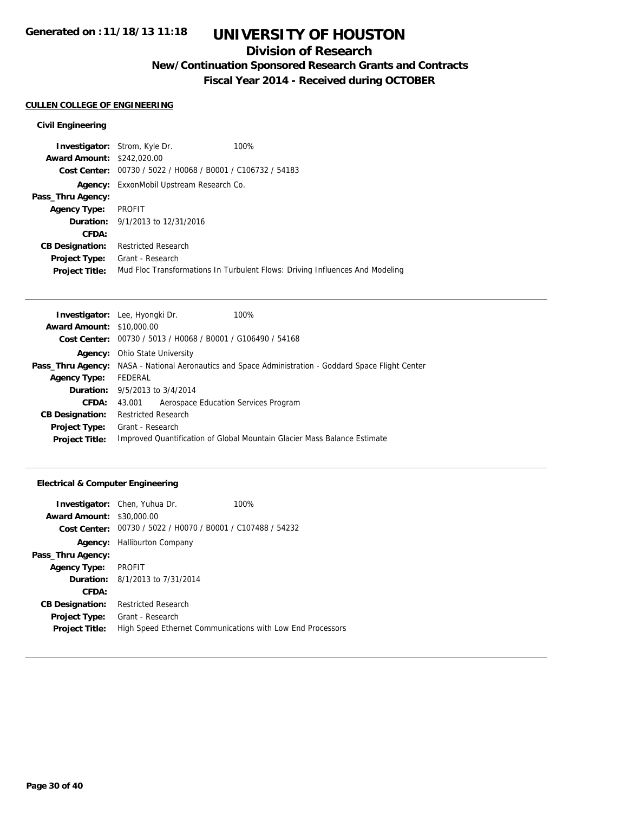### **Division of Research**

**New/Continuation Sponsored Research Grants and Contracts**

**Fiscal Year 2014 - Received during OCTOBER**

#### **CULLEN COLLEGE OF ENGINEERING**

#### **Civil Engineering**

|                                   | <b>Investigator:</b> Strom, Kyle Dr.                        | 100%                                                                         |
|-----------------------------------|-------------------------------------------------------------|------------------------------------------------------------------------------|
| <b>Award Amount: \$242,020.00</b> |                                                             |                                                                              |
|                                   | Cost Center: 00730 / 5022 / H0068 / B0001 / C106732 / 54183 |                                                                              |
|                                   | <b>Agency:</b> ExxonMobil Upstream Research Co.             |                                                                              |
| Pass_Thru Agency:                 |                                                             |                                                                              |
| <b>Agency Type:</b>               | PROFIT                                                      |                                                                              |
|                                   | <b>Duration:</b> 9/1/2013 to 12/31/2016                     |                                                                              |
| CFDA:                             |                                                             |                                                                              |
| <b>CB Designation:</b>            | <b>Restricted Research</b>                                  |                                                                              |
| Project Type:                     | Grant - Research                                            |                                                                              |
| <b>Project Title:</b>             |                                                             | Mud Floc Transformations In Turbulent Flows: Driving Influences And Modeling |
|                                   |                                                             |                                                                              |

| <b>Investigator:</b> Lee, Hyongki Dr.                         | 100%                                                                                                        |
|---------------------------------------------------------------|-------------------------------------------------------------------------------------------------------------|
| <b>Award Amount: \$10,000.00</b>                              |                                                                                                             |
| Cost Center: $00730 / 5013 / 40068 / 80001 / 6106490 / 54168$ |                                                                                                             |
| <b>Agency:</b> Ohio State University                          |                                                                                                             |
|                                                               | <b>Pass_Thru Agency:</b> NASA - National Aeronautics and Space Administration - Goddard Space Flight Center |
| FEDERAL                                                       |                                                                                                             |
| <b>Duration:</b> 9/5/2013 to 3/4/2014                         |                                                                                                             |
| Aerospace Education Services Program<br>43.001                |                                                                                                             |
| <b>Restricted Research</b>                                    |                                                                                                             |
| Grant - Research                                              |                                                                                                             |
|                                                               | Improved Quantification of Global Mountain Glacier Mass Balance Estimate                                    |
|                                                               |                                                                                                             |

#### **Electrical & Computer Engineering**

|                                  | <b>Investigator:</b> Chen, Yuhua Dr.                        | 100%                                                       |
|----------------------------------|-------------------------------------------------------------|------------------------------------------------------------|
| <b>Award Amount: \$30,000.00</b> |                                                             |                                                            |
|                                  | Cost Center: 00730 / 5022 / H0070 / B0001 / C107488 / 54232 |                                                            |
| Agency:                          | <b>Halliburton Company</b>                                  |                                                            |
| Pass_Thru Agency:                |                                                             |                                                            |
| <b>Agency Type:</b>              | PROFIT                                                      |                                                            |
|                                  | <b>Duration:</b> 8/1/2013 to 7/31/2014                      |                                                            |
| CFDA:                            |                                                             |                                                            |
| <b>CB Designation:</b>           | <b>Restricted Research</b>                                  |                                                            |
| <b>Project Type:</b>             | Grant - Research                                            |                                                            |
| <b>Project Title:</b>            |                                                             | High Speed Ethernet Communications with Low End Processors |
|                                  |                                                             |                                                            |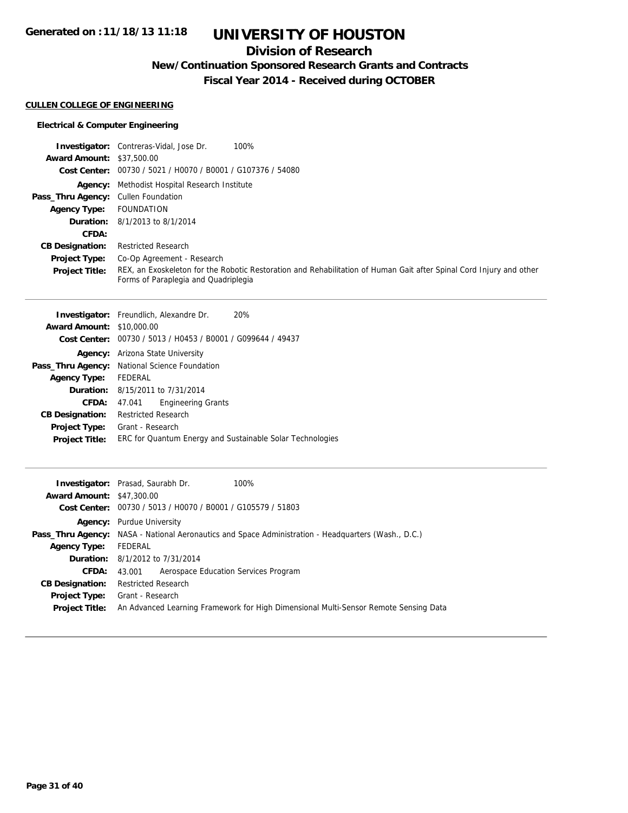### **Division of Research**

**New/Continuation Sponsored Research Grants and Contracts**

**Fiscal Year 2014 - Received during OCTOBER**

#### **CULLEN COLLEGE OF ENGINEERING**

#### **Electrical & Computer Engineering**

|                                     | <b>Investigator:</b> Contreras-Vidal, Jose Dr.<br>100%                                                                                                      |
|-------------------------------------|-------------------------------------------------------------------------------------------------------------------------------------------------------------|
| <b>Award Amount: \$37,500.00</b>    |                                                                                                                                                             |
|                                     | Cost Center: 00730 / 5021 / H0070 / B0001 / G107376 / 54080                                                                                                 |
|                                     | Agency: Methodist Hospital Research Institute                                                                                                               |
| Pass_Thru Agency: Cullen Foundation |                                                                                                                                                             |
| <b>Agency Type:</b>                 | FOUNDATION                                                                                                                                                  |
|                                     | <b>Duration:</b> 8/1/2013 to 8/1/2014                                                                                                                       |
| CFDA:                               |                                                                                                                                                             |
| <b>CB Designation:</b>              | <b>Restricted Research</b>                                                                                                                                  |
| <b>Project Type:</b>                | Co-Op Agreement - Research                                                                                                                                  |
| <b>Project Title:</b>               | REX, an Exoskeleton for the Robotic Restoration and Rehabilitation of Human Gait after Spinal Cord Injury and other<br>Forms of Paraplegia and Quadriplegia |

|                                  | <b>Investigator:</b> Freundlich, Alexandre Dr.<br>20%       |
|----------------------------------|-------------------------------------------------------------|
| <b>Award Amount: \$10,000.00</b> |                                                             |
|                                  | Cost Center: 00730 / 5013 / H0453 / B0001 / G099644 / 49437 |
| Agency:                          | Arizona State University                                    |
|                                  | Pass_Thru Agency: National Science Foundation               |
| <b>Agency Type:</b>              | FEDERAL                                                     |
|                                  | <b>Duration:</b> 8/15/2011 to 7/31/2014                     |
| CFDA:                            | <b>Engineering Grants</b><br>47.041                         |
| <b>CB Designation:</b>           | <b>Restricted Research</b>                                  |
| <b>Project Type:</b>             | Grant - Research                                            |
| <b>Project Title:</b>            | ERC for Quantum Energy and Sustainable Solar Technologies   |
|                                  |                                                             |

|                                  | <b>Investigator:</b> Prasad, Saurabh Dr.<br>100%                                                           |  |  |
|----------------------------------|------------------------------------------------------------------------------------------------------------|--|--|
| <b>Award Amount: \$47,300.00</b> |                                                                                                            |  |  |
|                                  | Cost Center: 00730 / 5013 / H0070 / B0001 / G105579 / 51803                                                |  |  |
|                                  | <b>Agency:</b> Purdue University                                                                           |  |  |
|                                  | <b>Pass_Thru Agency:</b> NASA - National Aeronautics and Space Administration - Headquarters (Wash., D.C.) |  |  |
| <b>Agency Type:</b>              | FEDERAL                                                                                                    |  |  |
|                                  | <b>Duration:</b> 8/1/2012 to 7/31/2014                                                                     |  |  |
| <b>CFDA:</b>                     | Aerospace Education Services Program<br>43.001                                                             |  |  |
| <b>CB Designation:</b>           | <b>Restricted Research</b>                                                                                 |  |  |
| <b>Project Type:</b>             | Grant - Research                                                                                           |  |  |
| <b>Project Title:</b>            | An Advanced Learning Framework for High Dimensional Multi-Sensor Remote Sensing Data                       |  |  |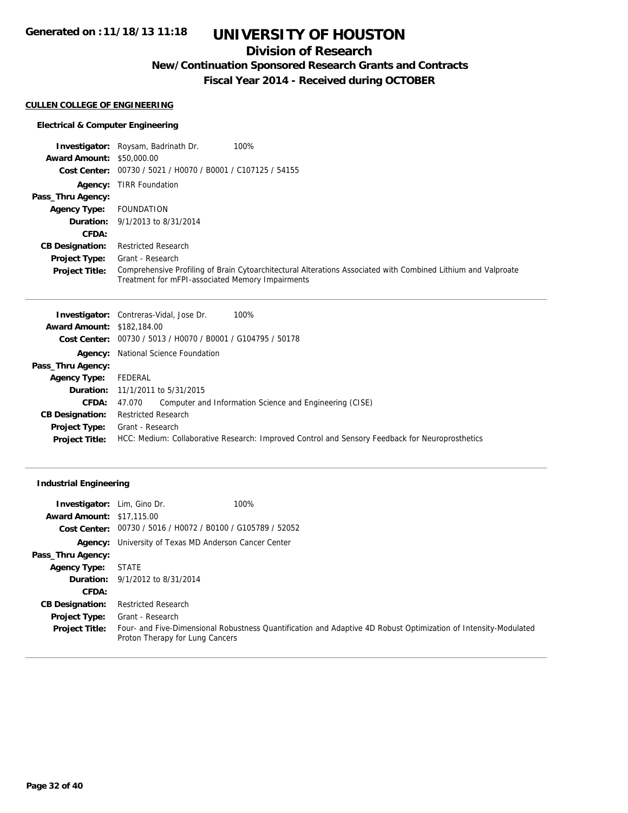### **Division of Research**

**New/Continuation Sponsored Research Grants and Contracts**

**Fiscal Year 2014 - Received during OCTOBER**

#### **CULLEN COLLEGE OF ENGINEERING**

#### **Electrical & Computer Engineering**

|                                  | 100%<br><b>Investigator:</b> Roysam, Badrinath Dr.                                                                                                                |
|----------------------------------|-------------------------------------------------------------------------------------------------------------------------------------------------------------------|
| <b>Award Amount: \$50,000.00</b> |                                                                                                                                                                   |
|                                  | Cost Center: 00730 / 5021 / H0070 / B0001 / C107125 / 54155                                                                                                       |
|                                  | <b>Agency: TIRR Foundation</b>                                                                                                                                    |
| Pass_Thru Agency:                |                                                                                                                                                                   |
| <b>Agency Type:</b>              | <b>FOUNDATION</b>                                                                                                                                                 |
|                                  | <b>Duration:</b> 9/1/2013 to 8/31/2014                                                                                                                            |
| CFDA:                            |                                                                                                                                                                   |
| <b>CB Designation:</b>           | <b>Restricted Research</b>                                                                                                                                        |
| <b>Project Type:</b>             | Grant - Research                                                                                                                                                  |
| <b>Project Title:</b>            | Comprehensive Profiling of Brain Cytoarchitectural Alterations Associated with Combined Lithium and Valproate<br>Treatment for mFPI-associated Memory Impairments |

| <b>Investigator:</b> Contreras-Vidal, Jose Dr.<br>100%                                          |  |  |
|-------------------------------------------------------------------------------------------------|--|--|
| <b>Award Amount: \$182,184.00</b>                                                               |  |  |
| Cost Center: 00730 / 5013 / H0070 / B0001 / G104795 / 50178                                     |  |  |
| <b>Agency:</b> National Science Foundation                                                      |  |  |
|                                                                                                 |  |  |
| FEDERAL                                                                                         |  |  |
| <b>Duration:</b> 11/1/2011 to 5/31/2015                                                         |  |  |
| Computer and Information Science and Engineering (CISE)<br>47.070                               |  |  |
| <b>Restricted Research</b>                                                                      |  |  |
| Grant - Research                                                                                |  |  |
| HCC: Medium: Collaborative Research: Improved Control and Sensory Feedback for Neuroprosthetics |  |  |
|                                                                                                 |  |  |

#### **Industrial Engineering**

| Investigator:                    | 100%<br>Lim, Gino Dr.                                                                                                                              |  |  |
|----------------------------------|----------------------------------------------------------------------------------------------------------------------------------------------------|--|--|
| <b>Award Amount: \$17,115.00</b> |                                                                                                                                                    |  |  |
|                                  | Cost Center: 00730 / 5016 / H0072 / B0100 / G105789 / 52052                                                                                        |  |  |
|                                  | <b>Agency:</b> University of Texas MD Anderson Cancer Center                                                                                       |  |  |
| Pass_Thru Agency:                |                                                                                                                                                    |  |  |
| <b>Agency Type:</b>              | <b>STATE</b>                                                                                                                                       |  |  |
| <b>Duration:</b>                 | 9/1/2012 to 8/31/2014                                                                                                                              |  |  |
| CFDA:                            |                                                                                                                                                    |  |  |
| <b>CB Designation:</b>           | <b>Restricted Research</b>                                                                                                                         |  |  |
| <b>Project Type:</b>             | Grant - Research                                                                                                                                   |  |  |
| <b>Project Title:</b>            | Four- and Five-Dimensional Robustness Quantification and Adaptive 4D Robust Optimization of Intensity-Modulated<br>Proton Therapy for Lung Cancers |  |  |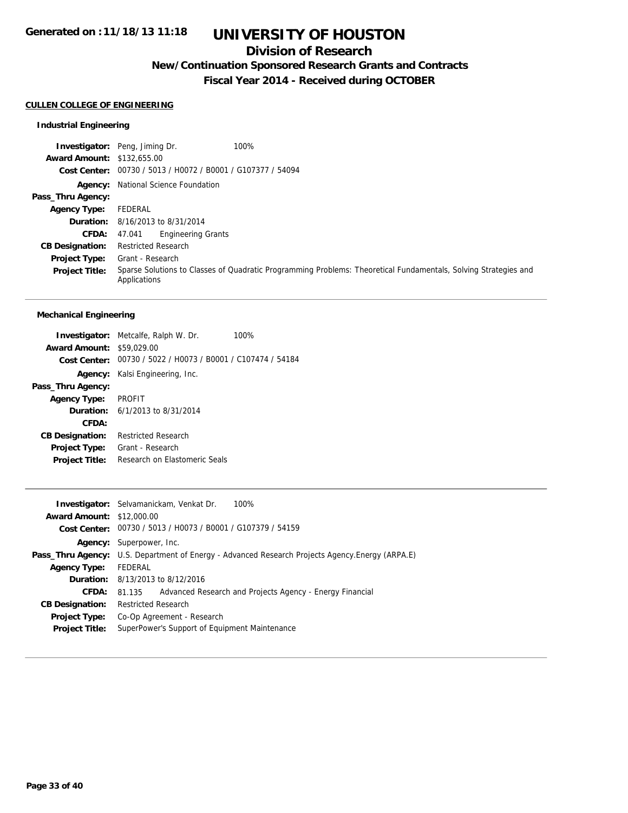### **Division of Research**

**New/Continuation Sponsored Research Grants and Contracts**

**Fiscal Year 2014 - Received during OCTOBER**

#### **CULLEN COLLEGE OF ENGINEERING**

#### **Industrial Engineering**

**Investigator:** Peng, Jiming Dr. 100% **Award Amount:** \$132,655.00 **Cost Center:** 00730 / 5013 / H0072 / B0001 / G107377 / 54094 **Agency:** National Science Foundation **Pass\_Thru Agency: Agency Type:** FEDERAL **Duration:** 8/16/2013 to 8/31/2014 **CFDA:** 47.041 Engineering Grants **CB Designation:** Restricted Research **Project Type:** Grant - Research **Project Title:** Sparse Solutions to Classes of Quadratic Programming Problems: Theoretical Fundamentals, Solving Strategies and Applications

#### **Mechanical Engineering**

|                                  | <b>Investigator:</b> Metcalfe, Ralph W. Dr.                 | 100% |
|----------------------------------|-------------------------------------------------------------|------|
| <b>Award Amount: \$59,029.00</b> |                                                             |      |
|                                  | Cost Center: 00730 / 5022 / H0073 / B0001 / C107474 / 54184 |      |
|                                  | <b>Agency:</b> Kalsi Engineering, Inc.                      |      |
| Pass_Thru Agency:                |                                                             |      |
| Agency Type: PROFIT              |                                                             |      |
|                                  | <b>Duration:</b> $6/1/2013$ to $8/31/2014$                  |      |
| CFDA:                            |                                                             |      |
| <b>CB Designation:</b>           | <b>Restricted Research</b>                                  |      |
| <b>Project Type:</b>             | Grant - Research                                            |      |
| <b>Project Title:</b>            | Research on Flastomeric Seals                               |      |
|                                  |                                                             |      |

|                                  | Investigator: Selvamanickam, Venkat Dr.<br>100%                                                          |  |  |
|----------------------------------|----------------------------------------------------------------------------------------------------------|--|--|
| <b>Award Amount: \$12,000.00</b> |                                                                                                          |  |  |
|                                  | Cost Center: 00730 / 5013 / H0073 / B0001 / G107379 / 54159                                              |  |  |
|                                  | <b>Agency:</b> Superpower, Inc.                                                                          |  |  |
|                                  | <b>Pass_Thru Agency:</b> U.S. Department of Energy - Advanced Research Projects Agency. Energy (ARPA. E) |  |  |
| <b>Agency Type:</b>              | FEDERAL                                                                                                  |  |  |
|                                  | <b>Duration:</b> 8/13/2013 to 8/12/2016                                                                  |  |  |
| CFDA:                            | Advanced Research and Projects Agency - Energy Financial<br>81.135                                       |  |  |
| <b>CB Designation:</b>           | <b>Restricted Research</b>                                                                               |  |  |
| <b>Project Type:</b>             | Co-Op Agreement - Research                                                                               |  |  |
| <b>Project Title:</b>            | SuperPower's Support of Equipment Maintenance                                                            |  |  |
|                                  |                                                                                                          |  |  |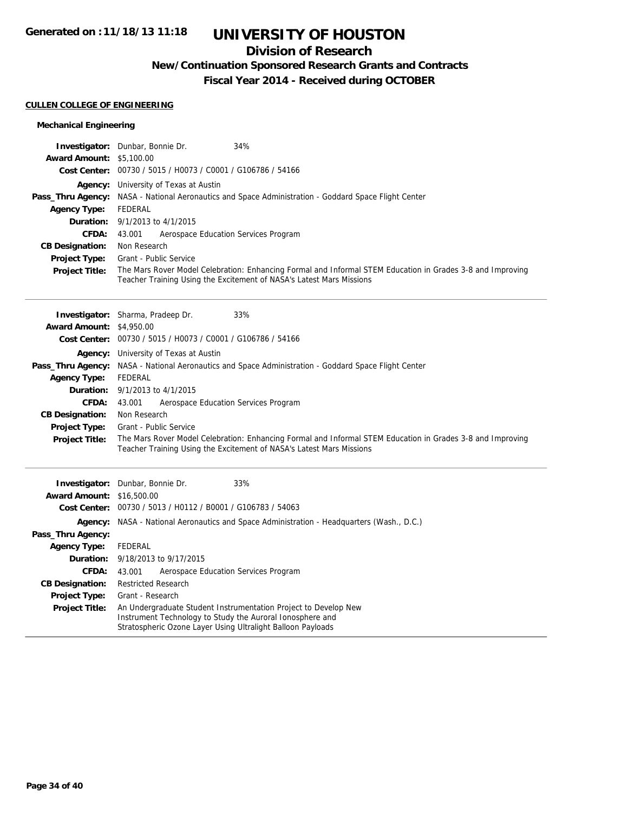## **Division of Research**

**New/Continuation Sponsored Research Grants and Contracts**

**Fiscal Year 2014 - Received during OCTOBER**

#### **CULLEN COLLEGE OF ENGINEERING**

#### **Mechanical Engineering**

| <b>Award Amount: \$5,100.00</b><br>00730 / 5015 / H0073 / C0001 / G106786 / 54166<br><b>Cost Center:</b><br>University of Texas at Austin<br>Agency:<br>Pass_Thru Agency:<br>NASA - National Aeronautics and Space Administration - Goddard Space Flight Center<br><b>Agency Type:</b><br><b>FEDERAL</b><br>Duration:<br>9/1/2013 to 4/1/2015<br><b>CFDA:</b><br>43.001<br>Aerospace Education Services Program<br><b>CB Designation:</b><br>Non Research<br><b>Project Type:</b><br>Grant - Public Service<br>The Mars Rover Model Celebration: Enhancing Formal and Informal STEM Education in Grades 3-8 and Improving<br><b>Project Title:</b><br>Teacher Training Using the Excitement of NASA's Latest Mars Missions<br>33%<br><b>Investigator:</b> Sharma, Pradeep Dr.<br><b>Award Amount: \$4,950.00</b><br>Cost Center: 00730 / 5015 / H0073 / C0001 / G106786 / 54166<br>Agency: University of Texas at Austin<br>Pass_Thru Agency: NASA - National Aeronautics and Space Administration - Goddard Space Flight Center<br><b>Agency Type:</b><br>FEDERAL<br>9/1/2013 to 4/1/2015<br>Duration:<br><b>CFDA:</b><br>Aerospace Education Services Program<br>43.001<br>Non Research<br><b>CB Designation:</b><br><b>Project Type:</b><br>Grant - Public Service<br>The Mars Rover Model Celebration: Enhancing Formal and Informal STEM Education in Grades 3-8 and Improving<br><b>Project Title:</b><br>Teacher Training Using the Excitement of NASA's Latest Mars Missions<br>33%<br>Investigator:<br>Dunbar, Bonnie Dr. |
|------------------------------------------------------------------------------------------------------------------------------------------------------------------------------------------------------------------------------------------------------------------------------------------------------------------------------------------------------------------------------------------------------------------------------------------------------------------------------------------------------------------------------------------------------------------------------------------------------------------------------------------------------------------------------------------------------------------------------------------------------------------------------------------------------------------------------------------------------------------------------------------------------------------------------------------------------------------------------------------------------------------------------------------------------------------------------------------------------------------------------------------------------------------------------------------------------------------------------------------------------------------------------------------------------------------------------------------------------------------------------------------------------------------------------------------------------------------------------------------------------------------------------------|
|                                                                                                                                                                                                                                                                                                                                                                                                                                                                                                                                                                                                                                                                                                                                                                                                                                                                                                                                                                                                                                                                                                                                                                                                                                                                                                                                                                                                                                                                                                                                    |
|                                                                                                                                                                                                                                                                                                                                                                                                                                                                                                                                                                                                                                                                                                                                                                                                                                                                                                                                                                                                                                                                                                                                                                                                                                                                                                                                                                                                                                                                                                                                    |
|                                                                                                                                                                                                                                                                                                                                                                                                                                                                                                                                                                                                                                                                                                                                                                                                                                                                                                                                                                                                                                                                                                                                                                                                                                                                                                                                                                                                                                                                                                                                    |
|                                                                                                                                                                                                                                                                                                                                                                                                                                                                                                                                                                                                                                                                                                                                                                                                                                                                                                                                                                                                                                                                                                                                                                                                                                                                                                                                                                                                                                                                                                                                    |
|                                                                                                                                                                                                                                                                                                                                                                                                                                                                                                                                                                                                                                                                                                                                                                                                                                                                                                                                                                                                                                                                                                                                                                                                                                                                                                                                                                                                                                                                                                                                    |
|                                                                                                                                                                                                                                                                                                                                                                                                                                                                                                                                                                                                                                                                                                                                                                                                                                                                                                                                                                                                                                                                                                                                                                                                                                                                                                                                                                                                                                                                                                                                    |
|                                                                                                                                                                                                                                                                                                                                                                                                                                                                                                                                                                                                                                                                                                                                                                                                                                                                                                                                                                                                                                                                                                                                                                                                                                                                                                                                                                                                                                                                                                                                    |
|                                                                                                                                                                                                                                                                                                                                                                                                                                                                                                                                                                                                                                                                                                                                                                                                                                                                                                                                                                                                                                                                                                                                                                                                                                                                                                                                                                                                                                                                                                                                    |
|                                                                                                                                                                                                                                                                                                                                                                                                                                                                                                                                                                                                                                                                                                                                                                                                                                                                                                                                                                                                                                                                                                                                                                                                                                                                                                                                                                                                                                                                                                                                    |
|                                                                                                                                                                                                                                                                                                                                                                                                                                                                                                                                                                                                                                                                                                                                                                                                                                                                                                                                                                                                                                                                                                                                                                                                                                                                                                                                                                                                                                                                                                                                    |
|                                                                                                                                                                                                                                                                                                                                                                                                                                                                                                                                                                                                                                                                                                                                                                                                                                                                                                                                                                                                                                                                                                                                                                                                                                                                                                                                                                                                                                                                                                                                    |
|                                                                                                                                                                                                                                                                                                                                                                                                                                                                                                                                                                                                                                                                                                                                                                                                                                                                                                                                                                                                                                                                                                                                                                                                                                                                                                                                                                                                                                                                                                                                    |
|                                                                                                                                                                                                                                                                                                                                                                                                                                                                                                                                                                                                                                                                                                                                                                                                                                                                                                                                                                                                                                                                                                                                                                                                                                                                                                                                                                                                                                                                                                                                    |
|                                                                                                                                                                                                                                                                                                                                                                                                                                                                                                                                                                                                                                                                                                                                                                                                                                                                                                                                                                                                                                                                                                                                                                                                                                                                                                                                                                                                                                                                                                                                    |
|                                                                                                                                                                                                                                                                                                                                                                                                                                                                                                                                                                                                                                                                                                                                                                                                                                                                                                                                                                                                                                                                                                                                                                                                                                                                                                                                                                                                                                                                                                                                    |
|                                                                                                                                                                                                                                                                                                                                                                                                                                                                                                                                                                                                                                                                                                                                                                                                                                                                                                                                                                                                                                                                                                                                                                                                                                                                                                                                                                                                                                                                                                                                    |
|                                                                                                                                                                                                                                                                                                                                                                                                                                                                                                                                                                                                                                                                                                                                                                                                                                                                                                                                                                                                                                                                                                                                                                                                                                                                                                                                                                                                                                                                                                                                    |
|                                                                                                                                                                                                                                                                                                                                                                                                                                                                                                                                                                                                                                                                                                                                                                                                                                                                                                                                                                                                                                                                                                                                                                                                                                                                                                                                                                                                                                                                                                                                    |
|                                                                                                                                                                                                                                                                                                                                                                                                                                                                                                                                                                                                                                                                                                                                                                                                                                                                                                                                                                                                                                                                                                                                                                                                                                                                                                                                                                                                                                                                                                                                    |
|                                                                                                                                                                                                                                                                                                                                                                                                                                                                                                                                                                                                                                                                                                                                                                                                                                                                                                                                                                                                                                                                                                                                                                                                                                                                                                                                                                                                                                                                                                                                    |
|                                                                                                                                                                                                                                                                                                                                                                                                                                                                                                                                                                                                                                                                                                                                                                                                                                                                                                                                                                                                                                                                                                                                                                                                                                                                                                                                                                                                                                                                                                                                    |
|                                                                                                                                                                                                                                                                                                                                                                                                                                                                                                                                                                                                                                                                                                                                                                                                                                                                                                                                                                                                                                                                                                                                                                                                                                                                                                                                                                                                                                                                                                                                    |
|                                                                                                                                                                                                                                                                                                                                                                                                                                                                                                                                                                                                                                                                                                                                                                                                                                                                                                                                                                                                                                                                                                                                                                                                                                                                                                                                                                                                                                                                                                                                    |
|                                                                                                                                                                                                                                                                                                                                                                                                                                                                                                                                                                                                                                                                                                                                                                                                                                                                                                                                                                                                                                                                                                                                                                                                                                                                                                                                                                                                                                                                                                                                    |
|                                                                                                                                                                                                                                                                                                                                                                                                                                                                                                                                                                                                                                                                                                                                                                                                                                                                                                                                                                                                                                                                                                                                                                                                                                                                                                                                                                                                                                                                                                                                    |
|                                                                                                                                                                                                                                                                                                                                                                                                                                                                                                                                                                                                                                                                                                                                                                                                                                                                                                                                                                                                                                                                                                                                                                                                                                                                                                                                                                                                                                                                                                                                    |
|                                                                                                                                                                                                                                                                                                                                                                                                                                                                                                                                                                                                                                                                                                                                                                                                                                                                                                                                                                                                                                                                                                                                                                                                                                                                                                                                                                                                                                                                                                                                    |
| <b>Award Amount:</b><br>\$16,500.00                                                                                                                                                                                                                                                                                                                                                                                                                                                                                                                                                                                                                                                                                                                                                                                                                                                                                                                                                                                                                                                                                                                                                                                                                                                                                                                                                                                                                                                                                                |
| 00730 / 5013 / H0112 / B0001 / G106783 / 54063<br><b>Cost Center:</b>                                                                                                                                                                                                                                                                                                                                                                                                                                                                                                                                                                                                                                                                                                                                                                                                                                                                                                                                                                                                                                                                                                                                                                                                                                                                                                                                                                                                                                                              |
| <b>Agency:</b> NASA - National Aeronautics and Space Administration - Headquarters (Wash., D.C.)                                                                                                                                                                                                                                                                                                                                                                                                                                                                                                                                                                                                                                                                                                                                                                                                                                                                                                                                                                                                                                                                                                                                                                                                                                                                                                                                                                                                                                   |
| Pass_Thru Agency:                                                                                                                                                                                                                                                                                                                                                                                                                                                                                                                                                                                                                                                                                                                                                                                                                                                                                                                                                                                                                                                                                                                                                                                                                                                                                                                                                                                                                                                                                                                  |
| <b>Agency Type:</b><br>FEDERAL                                                                                                                                                                                                                                                                                                                                                                                                                                                                                                                                                                                                                                                                                                                                                                                                                                                                                                                                                                                                                                                                                                                                                                                                                                                                                                                                                                                                                                                                                                     |
| Duration:<br>9/18/2013 to 9/17/2015                                                                                                                                                                                                                                                                                                                                                                                                                                                                                                                                                                                                                                                                                                                                                                                                                                                                                                                                                                                                                                                                                                                                                                                                                                                                                                                                                                                                                                                                                                |
| <b>CFDA:</b><br>43.001<br>Aerospace Education Services Program                                                                                                                                                                                                                                                                                                                                                                                                                                                                                                                                                                                                                                                                                                                                                                                                                                                                                                                                                                                                                                                                                                                                                                                                                                                                                                                                                                                                                                                                     |
|                                                                                                                                                                                                                                                                                                                                                                                                                                                                                                                                                                                                                                                                                                                                                                                                                                                                                                                                                                                                                                                                                                                                                                                                                                                                                                                                                                                                                                                                                                                                    |
| <b>Restricted Research</b><br><b>CB Designation:</b>                                                                                                                                                                                                                                                                                                                                                                                                                                                                                                                                                                                                                                                                                                                                                                                                                                                                                                                                                                                                                                                                                                                                                                                                                                                                                                                                                                                                                                                                               |
| <b>Project Type:</b><br>Grant - Research                                                                                                                                                                                                                                                                                                                                                                                                                                                                                                                                                                                                                                                                                                                                                                                                                                                                                                                                                                                                                                                                                                                                                                                                                                                                                                                                                                                                                                                                                           |
| An Undergraduate Student Instrumentation Project to Develop New<br><b>Project Title:</b><br>Instrument Technology to Study the Auroral Ionosphere and                                                                                                                                                                                                                                                                                                                                                                                                                                                                                                                                                                                                                                                                                                                                                                                                                                                                                                                                                                                                                                                                                                                                                                                                                                                                                                                                                                              |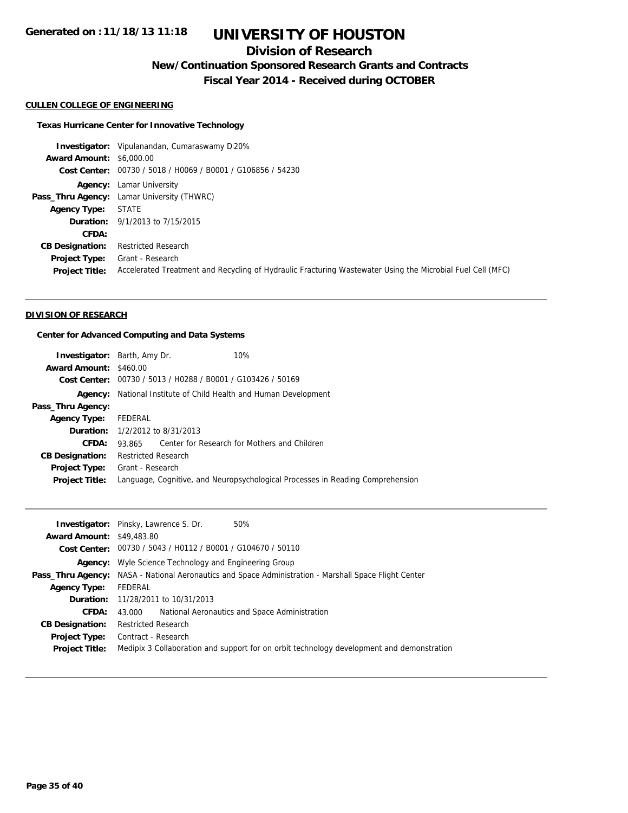## **Division of Research**

**New/Continuation Sponsored Research Grants and Contracts**

**Fiscal Year 2014 - Received during OCTOBER**

#### **CULLEN COLLEGE OF ENGINEERING**

#### **Texas Hurricane Center for Innovative Technology**

**Investigator:** Vipulanandan, Cumaraswamy Di20% **Award Amount:** \$6,000.00 **Cost Center:** 00730 / 5018 / H0069 / B0001 / G106856 / 54230 **Agency:** Lamar University **Pass\_Thru Agency:** Lamar University (THWRC) **Agency Type:** STATE **Duration:** 9/1/2013 to 7/15/2015 **CFDA: CB Designation:** Restricted Research **Project Type:** Grant - Research **Project Title:** Accelerated Treatment and Recycling of Hydraulic Fracturing Wastewater Using the Microbial Fuel Cell (MFC)

#### **DIVISION OF RESEARCH**

#### **Center for Advanced Computing and Data Systems**

|                               | <b>Investigator:</b> Barth, Amy Dr.                                     | 10%                                                                            |  |
|-------------------------------|-------------------------------------------------------------------------|--------------------------------------------------------------------------------|--|
| <b>Award Amount: \$460.00</b> |                                                                         |                                                                                |  |
|                               | Cost Center: 00730 / 5013 / H0288 / B0001 / G103426 / 50169             |                                                                                |  |
|                               | <b>Agency:</b> National Institute of Child Health and Human Development |                                                                                |  |
| Pass_Thru Agency:             |                                                                         |                                                                                |  |
| <b>Agency Type:</b>           | FEDERAL                                                                 |                                                                                |  |
|                               | <b>Duration:</b> 1/2/2012 to 8/31/2013                                  |                                                                                |  |
| CFDA:                         | 93.865 Center for Research for Mothers and Children                     |                                                                                |  |
| <b>CB Designation:</b>        | <b>Restricted Research</b>                                              |                                                                                |  |
| <b>Project Type:</b>          | Grant - Research                                                        |                                                                                |  |
| <b>Project Title:</b>         |                                                                         | Language, Cognitive, and Neuropsychological Processes in Reading Comprehension |  |
|                               |                                                                         |                                                                                |  |

|                                  | 50%<br><b>Investigator:</b> Pinsky, Lawrence S. Dr.                                                          |  |  |
|----------------------------------|--------------------------------------------------------------------------------------------------------------|--|--|
| <b>Award Amount: \$49,483.80</b> |                                                                                                              |  |  |
|                                  | Cost Center: 00730 / 5043 / H0112 / B0001 / G104670 / 50110                                                  |  |  |
|                                  | <b>Agency:</b> Wyle Science Technology and Engineering Group                                                 |  |  |
|                                  | <b>Pass_Thru Agency:</b> NASA - National Aeronautics and Space Administration - Marshall Space Flight Center |  |  |
| <b>Agency Type:</b>              | FEDERAL                                                                                                      |  |  |
|                                  | <b>Duration:</b> 11/28/2011 to 10/31/2013                                                                    |  |  |
| CFDA:                            | 43,000 National Aeronautics and Space Administration                                                         |  |  |
| <b>CB Designation:</b>           | <b>Restricted Research</b>                                                                                   |  |  |
| <b>Project Type:</b>             | Contract - Research                                                                                          |  |  |
| <b>Project Title:</b>            | Medipix 3 Collaboration and support for on orbit technology development and demonstration                    |  |  |
|                                  |                                                                                                              |  |  |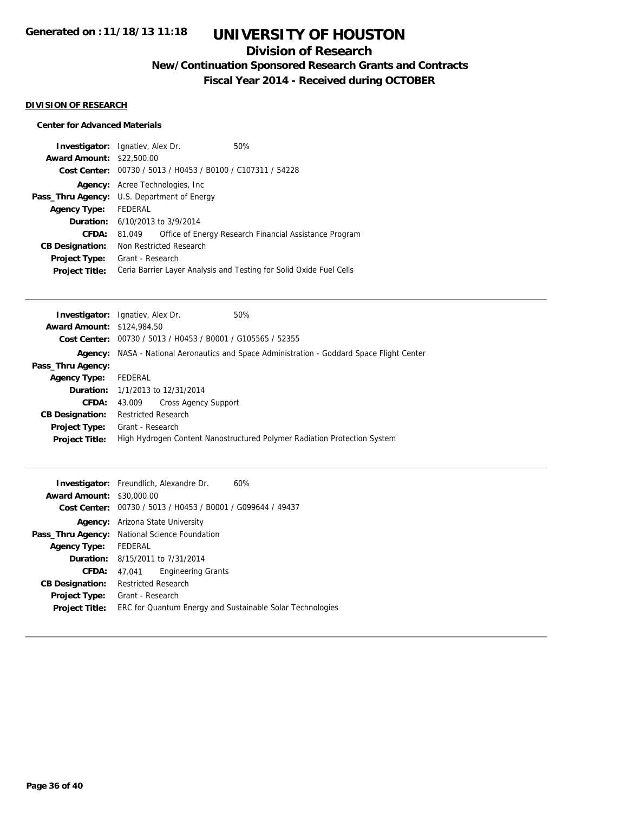### **Division of Research**

**New/Continuation Sponsored Research Grants and Contracts**

**Fiscal Year 2014 - Received during OCTOBER**

#### **DIVISION OF RESEARCH**

### **Center for Advanced Materials**

|                         |  | 50%                                                                                                                                                                                                                                                                                                       |
|-------------------------|--|-----------------------------------------------------------------------------------------------------------------------------------------------------------------------------------------------------------------------------------------------------------------------------------------------------------|
|                         |  |                                                                                                                                                                                                                                                                                                           |
|                         |  |                                                                                                                                                                                                                                                                                                           |
|                         |  |                                                                                                                                                                                                                                                                                                           |
|                         |  |                                                                                                                                                                                                                                                                                                           |
| FEDERAL                 |  |                                                                                                                                                                                                                                                                                                           |
|                         |  |                                                                                                                                                                                                                                                                                                           |
| 81.049                  |  | Office of Energy Research Financial Assistance Program                                                                                                                                                                                                                                                    |
| Non Restricted Research |  |                                                                                                                                                                                                                                                                                                           |
|                         |  |                                                                                                                                                                                                                                                                                                           |
|                         |  | Ceria Barrier Layer Analysis and Testing for Solid Oxide Fuel Cells                                                                                                                                                                                                                                       |
|                         |  | <b>Investigator:</b> Ignatiev, Alex Dr.<br><b>Award Amount: \$22,500.00</b><br>Cost Center: 00730 / 5013 / H0453 / B0100 / C107311 / 54228<br><b>Agency:</b> Acree Technologies, Inc.<br><b>Pass_Thru Agency:</b> U.S. Department of Energy<br><b>Duration:</b> 6/10/2013 to 3/9/2014<br>Grant - Research |

|                                   | <b>Investigator:</b> Ignatiev, Alex Dr.<br>50%                                                    |
|-----------------------------------|---------------------------------------------------------------------------------------------------|
| <b>Award Amount: \$124,984.50</b> |                                                                                                   |
|                                   | Cost Center: 00730 / 5013 / H0453 / B0001 / G105565 / 52355                                       |
|                                   | <b>Agency:</b> NASA - National Aeronautics and Space Administration - Goddard Space Flight Center |
| Pass_Thru Agency:                 |                                                                                                   |
| <b>Agency Type:</b>               | FEDERAL                                                                                           |
|                                   | <b>Duration:</b> 1/1/2013 to 12/31/2014                                                           |
| CFDA:                             | <b>Cross Agency Support</b><br>43.009                                                             |
| <b>CB Designation:</b>            | <b>Restricted Research</b>                                                                        |
| Project Type:                     | Grant - Research                                                                                  |
| <b>Project Title:</b>             | High Hydrogen Content Nanostructured Polymer Radiation Protection System                          |
|                                   |                                                                                                   |

|                                  | <b>Investigator:</b> Freundlich, Alexandre Dr.              | 60% |
|----------------------------------|-------------------------------------------------------------|-----|
| <b>Award Amount: \$30,000.00</b> |                                                             |     |
|                                  | Cost Center: 00730 / 5013 / H0453 / B0001 / G099644 / 49437 |     |
| Agency:                          | Arizona State University                                    |     |
|                                  | Pass_Thru Agency: National Science Foundation               |     |
| Agency Type:                     | FEDERAL                                                     |     |
|                                  | <b>Duration:</b> $8/15/2011$ to $7/31/2014$                 |     |
| CFDA:                            | <b>Engineering Grants</b><br>47.041                         |     |
| <b>CB Designation:</b>           | <b>Restricted Research</b>                                  |     |
| <b>Project Type:</b>             | Grant - Research                                            |     |
| <b>Project Title:</b>            | ERC for Quantum Energy and Sustainable Solar Technologies   |     |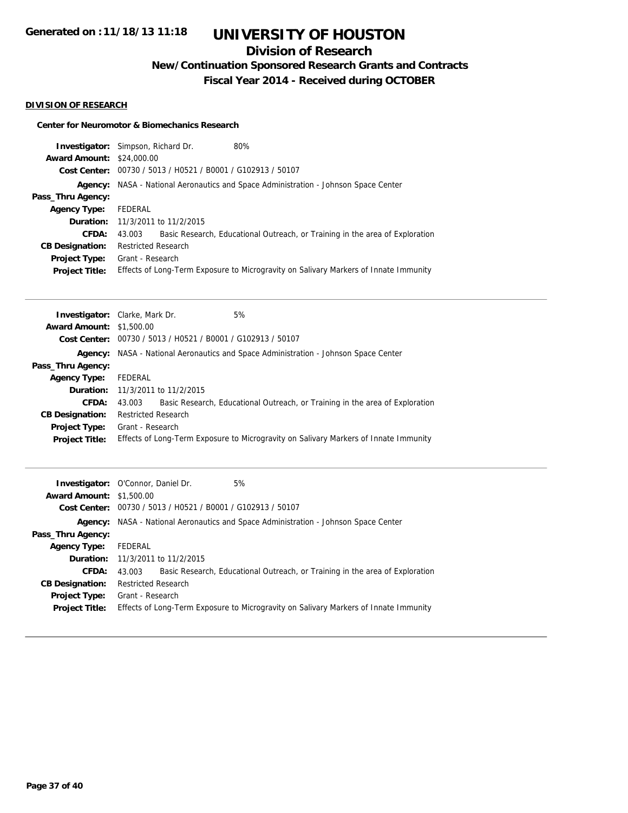## **Division of Research**

**New/Continuation Sponsored Research Grants and Contracts**

**Fiscal Year 2014 - Received during OCTOBER**

#### **DIVISION OF RESEARCH**

#### **Center for Neuromotor & Biomechanics Research**

| Investigator:<br><b>Award Amount:</b><br>Cost Center: .                                                              | Simpson, Richard Dr.<br>80%<br>\$24,000.00<br>00730 / 5013 / H0521 / B0001 / G102913 / 50107                                                                                                                                                                          |  |  |
|----------------------------------------------------------------------------------------------------------------------|-----------------------------------------------------------------------------------------------------------------------------------------------------------------------------------------------------------------------------------------------------------------------|--|--|
| Agency:<br>Pass_Thru Agency:                                                                                         | NASA - National Aeronautics and Space Administration - Johnson Space Center                                                                                                                                                                                           |  |  |
| <b>Agency Type:</b><br>Duration:<br><b>CFDA:</b><br><b>CB Designation:</b><br>Project Type:<br><b>Project Title:</b> | FEDERAL<br>11/3/2011 to 11/2/2015<br>Basic Research, Educational Outreach, or Training in the area of Exploration<br>43.003<br><b>Restricted Research</b><br>Grant - Research<br>Effects of Long-Term Exposure to Microgravity on Salivary Markers of Innate Immunity |  |  |
| <b>Award Amount:</b><br>Cost Center:<br>Agency:<br>Pass_Thru Agency:<br><b>Agency Type:</b>                          | 5%<br><b>Investigator:</b> Clarke, Mark Dr.<br>\$1,500.00<br>00730 / 5013 / H0521 / B0001 / G102913 / 50107<br>NASA - National Aeronautics and Space Administration - Johnson Space Center<br>FEDERAL                                                                 |  |  |

| <b>CB Designation:</b> Restricted Research                                                                 |
|------------------------------------------------------------------------------------------------------------|
| <b>Project Type:</b> Grant - Research                                                                      |
| <b>Project Title:</b> Effects of Long-Term Exposure to Microgravity on Salivary Markers of Innate Immunity |

| <b>Award Amount: \$1,500.00</b>               | 5%<br><b>Investigator:</b> O'Connor, Daniel Dr.                                                          |  |  |
|-----------------------------------------------|----------------------------------------------------------------------------------------------------------|--|--|
|                                               | Cost Center: 00730 / 5013 / H0521 / B0001 / G102913 / 50107                                              |  |  |
|                                               | <b>Agency:</b> NASA - National Aeronautics and Space Administration - Johnson Space Center               |  |  |
| Pass_Thru Agency:                             |                                                                                                          |  |  |
| <b>Agency Type:</b>                           | FEDERAL                                                                                                  |  |  |
|                                               | <b>Duration:</b> 11/3/2011 to 11/2/2015                                                                  |  |  |
| CFDA:                                         | Basic Research, Educational Outreach, or Training in the area of Exploration<br>43.003                   |  |  |
| <b>CB Designation:</b>                        | <b>Restricted Research</b>                                                                               |  |  |
| <b>Project Type:</b><br><b>Project Title:</b> | Grant - Research<br>Effects of Long-Term Exposure to Microgravity on Salivary Markers of Innate Immunity |  |  |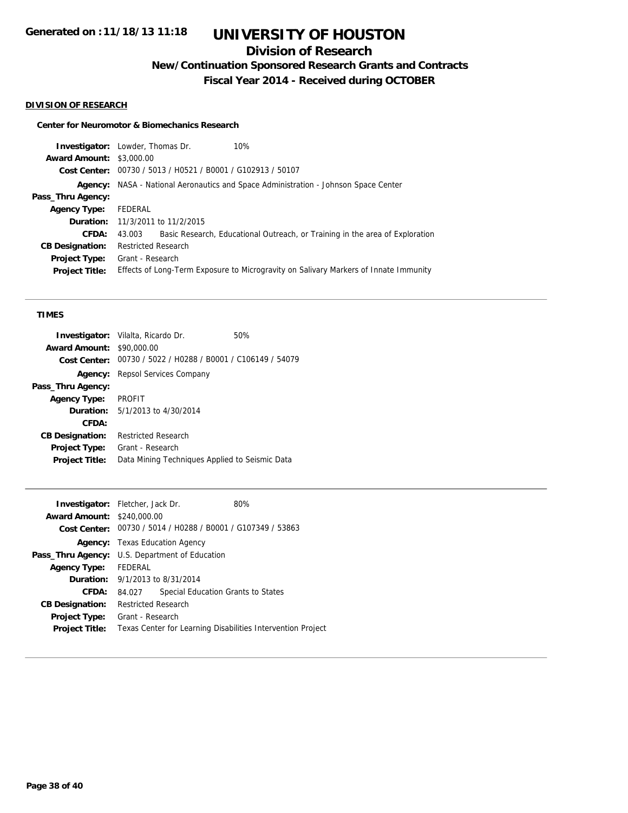## **Division of Research**

**New/Continuation Sponsored Research Grants and Contracts**

**Fiscal Year 2014 - Received during OCTOBER**

#### **DIVISION OF RESEARCH**

#### **Center for Neuromotor & Biomechanics Research**

| <b>Investigator:</b> Lowder, Thomas Dr. |                                                                                            |                                                             | 10%                                                                                  |
|-----------------------------------------|--------------------------------------------------------------------------------------------|-------------------------------------------------------------|--------------------------------------------------------------------------------------|
| <b>Award Amount: \$3,000.00</b>         |                                                                                            |                                                             |                                                                                      |
|                                         |                                                                                            | Cost Center: 00730 / 5013 / H0521 / B0001 / G102913 / 50107 |                                                                                      |
|                                         | <b>Agency:</b> NASA - National Aeronautics and Space Administration - Johnson Space Center |                                                             |                                                                                      |
| Pass_Thru Agency:                       |                                                                                            |                                                             |                                                                                      |
| <b>Agency Type:</b>                     | FEDERAL                                                                                    |                                                             |                                                                                      |
|                                         |                                                                                            | <b>Duration:</b> 11/3/2011 to 11/2/2015                     |                                                                                      |
| CFDA:                                   | 43.003                                                                                     |                                                             | Basic Research, Educational Outreach, or Training in the area of Exploration         |
| <b>CB Designation:</b>                  | <b>Restricted Research</b>                                                                 |                                                             |                                                                                      |
| Project Type:                           | Grant - Research                                                                           |                                                             |                                                                                      |
| <b>Project Title:</b>                   |                                                                                            |                                                             | Effects of Long-Term Exposure to Microgravity on Salivary Markers of Innate Immunity |
|                                         |                                                                                            |                                                             |                                                                                      |

#### **TIMES**

|                        | <b>Investigator:</b> Vilalta, Ricardo Dr.                   | 50% |
|------------------------|-------------------------------------------------------------|-----|
| <b>Award Amount:</b>   | \$90,000.00                                                 |     |
|                        | Cost Center: 00730 / 5022 / H0288 / B0001 / C106149 / 54079 |     |
|                        | <b>Agency:</b> Repsol Services Company                      |     |
| Pass_Thru Agency:      |                                                             |     |
| <b>Agency Type:</b>    | <b>PROFIT</b>                                               |     |
|                        | <b>Duration:</b> $5/1/2013$ to $4/30/2014$                  |     |
| CFDA:                  |                                                             |     |
| <b>CB Designation:</b> | Restricted Research                                         |     |
| <b>Project Type:</b>   | Grant - Research                                            |     |
| <b>Project Title:</b>  | Data Mining Techniques Applied to Seismic Data              |     |
|                        |                                                             |     |

| <b>Investigator:</b> Fletcher, Jack Dr.        |                                                             |  | 80%                                |                                                             |
|------------------------------------------------|-------------------------------------------------------------|--|------------------------------------|-------------------------------------------------------------|
| <b>Award Amount: \$240,000.00</b>              |                                                             |  |                                    |                                                             |
|                                                | Cost Center: 00730 / 5014 / H0288 / B0001 / G107349 / 53863 |  |                                    |                                                             |
|                                                | <b>Agency:</b> Texas Education Agency                       |  |                                    |                                                             |
| Pass_Thru Agency: U.S. Department of Education |                                                             |  |                                    |                                                             |
| Agency Type: FEDERAL                           |                                                             |  |                                    |                                                             |
| <b>Duration:</b> 9/1/2013 to 8/31/2014         |                                                             |  |                                    |                                                             |
| CFDA:                                          | 84.027                                                      |  | Special Education Grants to States |                                                             |
| <b>CB Designation:</b>                         | <b>Restricted Research</b>                                  |  |                                    |                                                             |
| Project Type:                                  | Grant - Research                                            |  |                                    |                                                             |
| <b>Project Title:</b>                          |                                                             |  |                                    | Texas Center for Learning Disabilities Intervention Project |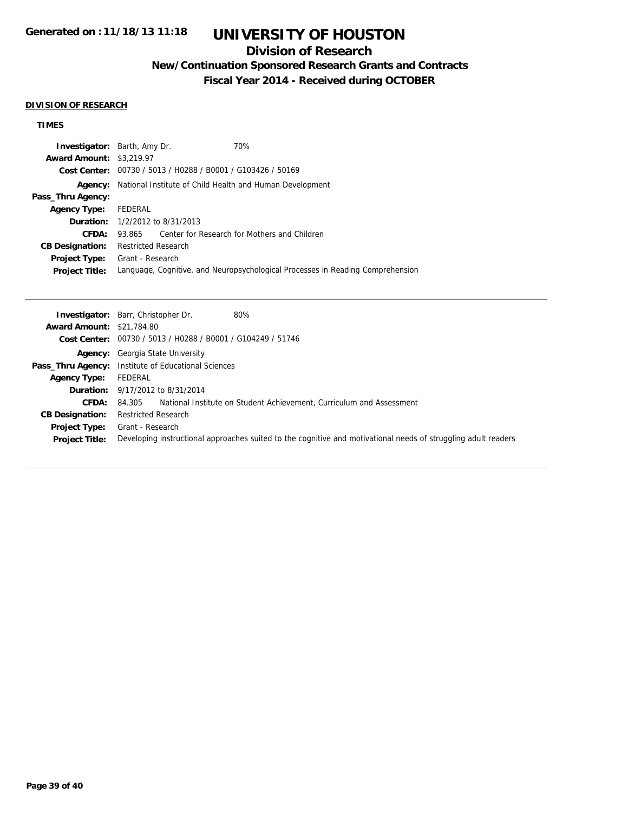### **Division of Research**

## **New/Continuation Sponsored Research Grants and Contracts**

**Fiscal Year 2014 - Received during OCTOBER**

#### **DIVISION OF RESEARCH**

### **TIMES**

|                                 | <b>Investigator:</b> Barth, Amy Dr.                         | 70%                                                                            |  |
|---------------------------------|-------------------------------------------------------------|--------------------------------------------------------------------------------|--|
| <b>Award Amount: \$3,219.97</b> |                                                             |                                                                                |  |
|                                 | Cost Center: 00730 / 5013 / H0288 / B0001 / G103426 / 50169 |                                                                                |  |
| Agency:                         | National Institute of Child Health and Human Development    |                                                                                |  |
| Pass_Thru Agency:               |                                                             |                                                                                |  |
| <b>Agency Type:</b>             | FEDERAL                                                     |                                                                                |  |
|                                 | <b>Duration:</b> 1/2/2012 to 8/31/2013                      |                                                                                |  |
| CFDA:                           | 93.865                                                      | Center for Research for Mothers and Children                                   |  |
| <b>CB Designation:</b>          | <b>Restricted Research</b>                                  |                                                                                |  |
| <b>Project Type:</b>            | Grant - Research                                            |                                                                                |  |
| <b>Project Title:</b>           |                                                             | Language, Cognitive, and Neuropsychological Processes in Reading Comprehension |  |
|                                 |                                                             |                                                                                |  |

|                                  | <b>Investigator:</b> Barr, Christopher Dr.<br>80%                                                              |
|----------------------------------|----------------------------------------------------------------------------------------------------------------|
| <b>Award Amount: \$21,784.80</b> |                                                                                                                |
|                                  | Cost Center: 00730 / 5013 / H0288 / B0001 / G104249 / 51746                                                    |
|                                  | <b>Agency:</b> Georgia State University                                                                        |
|                                  | <b>Pass_Thru Agency:</b> Institute of Educational Sciences                                                     |
| <b>Agency Type:</b>              | FEDERAL                                                                                                        |
|                                  | <b>Duration:</b> 9/17/2012 to 8/31/2014                                                                        |
| <b>CFDA:</b>                     | National Institute on Student Achievement, Curriculum and Assessment<br>84.305                                 |
| <b>CB Designation:</b>           | <b>Restricted Research</b>                                                                                     |
| <b>Project Type:</b>             | Grant - Research                                                                                               |
| <b>Project Title:</b>            | Developing instructional approaches suited to the cognitive and motivational needs of struggling adult readers |